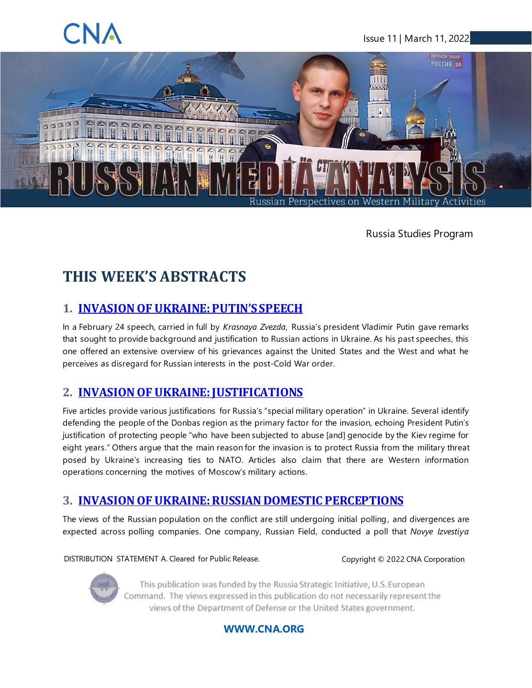### <span id="page-0-0"></span>Issue 11 | March 11, 2022



Russia Studies Program

# **THIS WEEK'S ABSTRACTS**

### **1. [INVASION OF UKRAINE: PUTIN'S SPEECH](#page-4-0)**

In a February 24 speech, carried in full by *Krasnaya Zvezda*, Russia's president Vladimir Putin gave remarks that sought to provide background and justification to Russian actions in Ukraine. As his past speeches, this one offered an extensive overview of his grievances against the United States and the West and what he perceives as disregard for Russian interests in the post-Cold War order.

### **2. [INVASION OF UKRAINE: JUSTIFICATIONS](#page-5-0)**

Five articles provide various justifications for Russia's "special military operation" in Ukraine. Several identify defending the people of the Donbas region as the primary factor for the invasion, echoing President Putin's justification of protecting people "who have been subjected to abuse [and] genocide by the Kiev regime for eight years." Others argue that the main reason for the invasion is to protect Russia from the military threat posed by Ukraine's increasing ties to NATO. Articles also claim that there are Western information operations concerning the motives of Moscow's military actions.

### **3. [INVASION OF UKRAINE: RUSSIAN DOMESTIC PERCEPTIONS](#page-7-0)**

The views of the Russian population on the conflict are still undergoing initial polling, and divergences are expected across polling companies. One company, Russian Field, conducted a poll that *Novye Izvestiya*

DISTRIBUTION STATEMENT A. Cleared for Public Release. Copyright © 2022 CNA Corporation



This publication was funded by the Russia Strategic Initiative, U.S. European Command. The views expressed in this publication do not necessarily represent the views of the Department of Defense or the United States government.

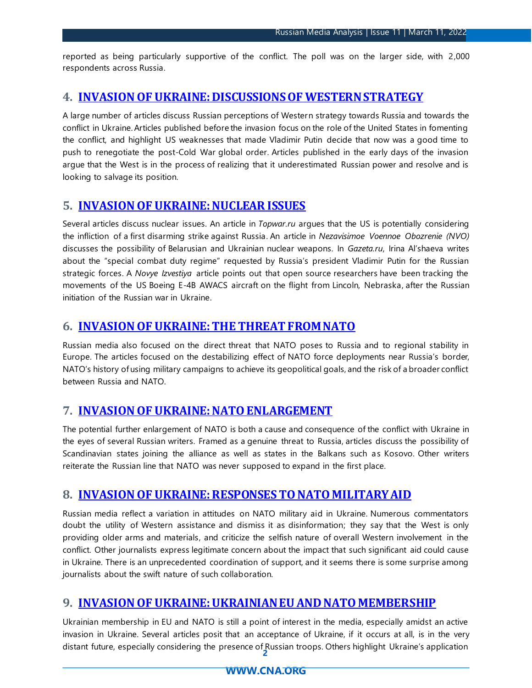reported as being particularly supportive of the conflict. The poll was on the larger side, with 2,000 respondents across Russia.

### **4. [INVASION OF UKRAINE: DISCUSSIONS OF WESTERN STRATEGY](#page-7-1)**

A large number of articles discuss Russian perceptions of Western strategy towards Russia and towards the conflict in Ukraine. Articles published before the invasion focus on the role of the United States in fomenting the conflict, and highlight US weaknesses that made Vladimir Putin decide that now was a good time to push to renegotiate the post-Cold War global order. Articles published in the early days of the invasion argue that the West is in the process of realizing that it underestimated Russian power and resolve and is looking to salvage its position.

### **5. [INVASION OF UKRAINE: NUCLEAR ISSUES](#page-9-0)**

Several articles discuss nuclear issues. An article in *Topwar.ru* argues that the US is potentially considering the infliction of a first disarming strike against Russia. An article in *Nezavisimoe Voennoe Obozrenie (NVO)* discusses the possibility of Belarusian and Ukrainian nuclear weapons. In *Gazeta.ru*, Irina Al'shaeva writes about the "special combat duty regime" requested by Russia's president Vladimir Putin for the Russian strategic forces. A *Novye Izvestiya* article points out that open source researchers have been tracking the movements of the US Boeing E-4B AWACS aircraft on the flight from Lincoln, Nebraska, after the Russian initiation of the Russian war in Ukraine.

### **6. [INVASION OF UKRAINE: THE THREAT FROM NATO](#page-10-0)**

Russian media also focused on the direct threat that NATO poses to Russia and to regional stability in Europe. The articles focused on the destabilizing effect of NATO force deployments near Russia's border, NATO's history of using military campaigns to achieve its geopolitical goals, and the risk of a broader conflict between Russia and NATO.

### **7. [INVASION OF UKRAINE: NATO ENLARGEMENT](#page-11-0)**

The potential further enlargement of NATO is both a cause and consequence of the conflict with Ukraine in the eyes of several Russian writers. Framed as a genuine threat to Russia, articles discuss the possibility of Scandinavian states joining the alliance as well as states in the Balkans such as Kosovo. Other writers reiterate the Russian line that NATO was never supposed to expand in the first place.

### **8. [INVASION OF UKRAINE: RESPONSES TO NATO MILITARY AID](#page-11-1)**

Russian media reflect a variation in attitudes on NATO military aid in Ukraine. Numerous commentators doubt the utility of Western assistance and dismiss it as disinformation; they say that the West is only providing older arms and materials, and criticize the selfish nature of overall Western involvement in the conflict. Other journalists express legitimate concern about the impact that such significant aid could cause in Ukraine. There is an unprecedented coordination of support, and it seems there is some surprise among journalists about the swift nature of such collaboration.

### **9. [INVASION OF UKRAINE: UKRAINIAN EU AND NATO MEMBERSHIP](#page-13-0)**

**2** distant future, especially considering the presence of Russian troops. Others highlight Ukraine's application Ukrainian membership in EU and NATO is still a point of interest in the media, especially amidst an active invasion in Ukraine. Several articles posit that an acceptance of Ukraine, if it occurs at all, is in the very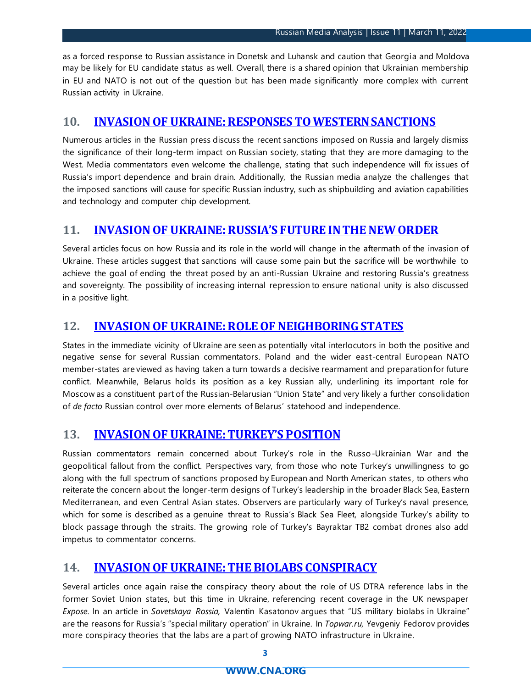as a forced response to Russian assistance in Donetsk and Luhansk and caution that Georgia and Moldova may be likely for EU candidate status as well. Overall, there is a shared opinion that Ukrainian membership in EU and NATO is not out of the question but has been made significantly more complex with current Russian activity in Ukraine.

#### **10. [INVASION OF UKRAINE: RESPONSES TO WESTERN SANCTIONS](#page-14-0)**

Numerous articles in the Russian press discuss the recent sanctions imposed on Russia and largely dismiss the significance of their long-term impact on Russian society, stating that they are more damaging to the West. Media commentators even welcome the challenge, stating that such independence will fix issues of Russia's import dependence and brain drain. Additionally, the Russian media analyze the challenges that the imposed sanctions will cause for specific Russian industry, such as shipbuilding and aviation capabilities and technology and computer chip development.

#### **11. INVASION OF UKRAINE: [RUSSIA'S FUTURE IN THE NEW ORDER](#page-16-0)**

Several articles focus on how Russia and its role in the world will change in the aftermath of the invasion of Ukraine. These articles suggest that sanctions will cause some pain but the sacrifice will be worthwhile to achieve the goal of ending the threat posed by an anti-Russian Ukraine and restoring Russia's greatness and sovereignty. The possibility of increasing internal repression to ensure national unity is also discussed in a positive light.

### **12. [INVASION OF UKRAINE: ROLE OF NEIGHBORING STATES](#page-17-0)**

States in the immediate vicinity of Ukraine are seen as potentially vital interlocutors in both the positive and negative sense for several Russian commentators. Poland and the wider east-central European NATO member-states are viewed as having taken a turn towards a decisive rearmament and preparation for future conflict. Meanwhile, Belarus holds its position as a key Russian ally, underlining its important role for Moscow as a constituent part of the Russian-Belarusian "Union State" and very likely a further consolidation of *de facto* Russian control over more elements of Belarus' statehood and independence.

### **13. [INVASION OF UKRAINE: TURKEY'S POSITION](#page-18-0)**

Russian commentators remain concerned about Turkey's role in the Russo-Ukrainian War and the geopolitical fallout from the conflict. Perspectives vary, from those who note Turkey's unwillingness to go along with the full spectrum of sanctions proposed by European and North American states , to others who reiterate the concern about the longer-term designs of Turkey's leadership in the broader Black Sea, Eastern Mediterranean, and even Central Asian states. Observers are particularly wary of Turkey's naval presence, which for some is described as a genuine threat to Russia's Black Sea Fleet, alongside Turkey's ability to block passage through the straits. The growing role of Turkey's Bayraktar TB2 combat drones also add impetus to commentator concerns.

### **14. [INVASION OF UKRAINE: THE BIOLABS CONSPIRACY](#page-18-1)**

Several articles once again raise the conspiracy theory about the role of US DTRA reference labs in the former Soviet Union states, but this time in Ukraine, referencing recent coverage in the UK newspaper *Expose*. In an article in *Sovetskaya Rossia,* Valentin Kasatonov argues that "US military biolabs in Ukraine" are the reasons for Russia's "special military operation" in Ukraine. In *Topwar.ru,* Yevgeniy Fedorov provides more conspiracy theories that the labs are a part of growing NATO infrastructure in Ukraine.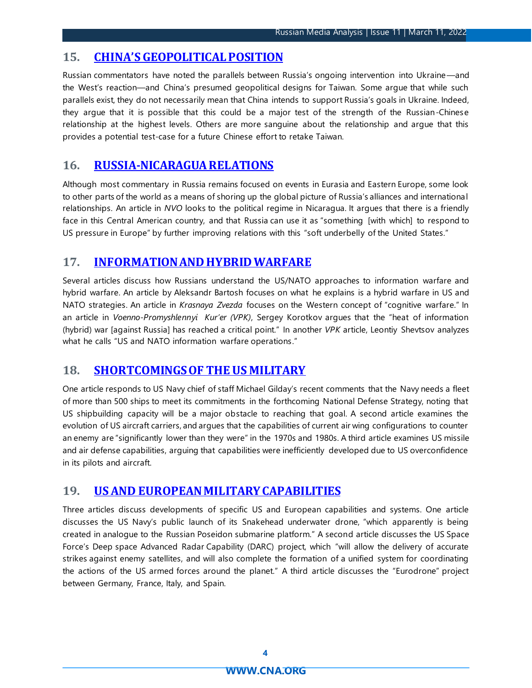### **15. [CHINA'S GEOPOLITICAL POSITION](#page-19-0)**

Russian commentators have noted the parallels between Russia's ongoing intervention into Ukraine—and the West's reaction—and China's presumed geopolitical designs for Taiwan. Some argue that while such parallels exist, they do not necessarily mean that China intends to support Russia's goals in Ukraine. Indeed, they argue that it is possible that this could be a major test of the strength of the Russian-Chinese relationship at the highest levels. Others are more sanguine about the relationship and argue that this provides a potential test-case for a future Chinese effort to retake Taiwan.

### **16. [RUSSIA-NICARAGUA RELATIONS](#page-20-0)**

Although most commentary in Russia remains focused on events in Eurasia and Eastern Europe, some look to other parts of the world as a means of shoring up the global picture of Russia's alliances and international relationships. An article in *NVO* looks to the political regime in Nicaragua. It argues that there is a friendly face in this Central American country, and that Russia can use it as "something [with which] to respond to US pressure in Europe" by further improving relations with this "soft underbelly of the United States."

### **17. [INFORMATION AND HYBRID WARFARE](#page-20-1)**

Several articles discuss how Russians understand the US/NATO approaches to information warfare and hybrid warfare. An article by Aleksandr Bartosh focuses on what he explains is a hybrid warfare in US and NATO strategies. An article in *Krasnaya Zvezda* focuses on the Western concept of "cognitive warfare." In an article in *Voenno-Promyshlennyi Kur'er (VPK)*, Sergey Korotkov argues that the "heat of information (hybrid) war [against Russia] has reached a critical point." In another *VPK* article, Leontiy Shevtsov analyzes what he calls "US and NATO information warfare operations."

#### **18. [SHORTCOMINGS OF THE US MILITARY](#page-21-0)**

One article responds to US Navy chief of staff Michael Gilday's recent comments that the Navy needs a fleet of more than 500 ships to meet its commitments in the forthcoming National Defense Strategy, noting that US shipbuilding capacity will be a major obstacle to reaching that goal. A second article examines the evolution of US aircraft carriers, and argues that the capabilities of current air wing configurations to counter an enemy are "significantly lower than they were" in the 1970s and 1980s. A third article examines US missile and air defense capabilities, arguing that capabilities were inefficiently developed due to US overconfidence in its pilots and aircraft.

### **19. [US AND EUROPEAN MILITARY CAPABILITIES](#page-22-0)**

Three articles discuss developments of specific US and European capabilities and systems. One article discusses the US Navy's public launch of its Snakehead underwater drone, "which apparently is being created in analogue to the Russian Poseidon submarine platform." A second article discusses the US Space Force's Deep space Advanced Radar Capability (DARC) project, which "will allow the delivery of accurate strikes against enemy satellites, and will also complete the formation of a unified system for coordinating the actions of the US armed forces around the planet." A third article discusses the "Eurodrone" project between Germany, France, Italy, and Spain.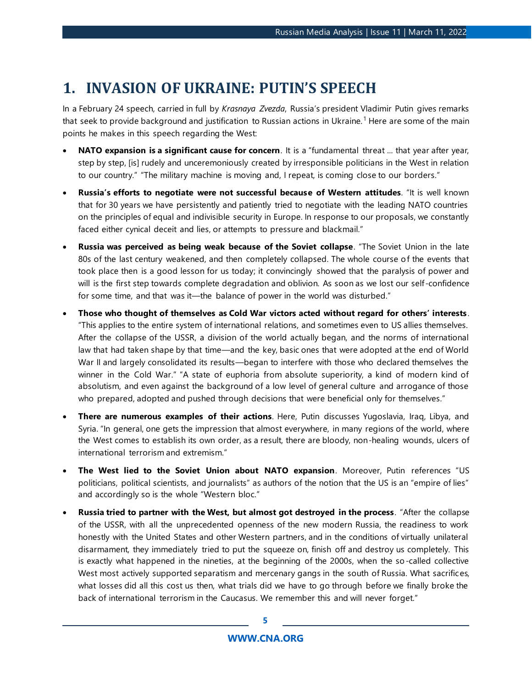# <span id="page-4-0"></span>**1. INVASION OF UKRAINE: PUTIN'S SPEECH**

In a February 24 speech, carried in full by *Krasnaya Zvezda*, Russia's president Vladimir Putin gives remarks that seek to provide background and justification to Russian actions in Ukraine.<sup>1</sup> Here are some of the main points he makes in this speech regarding the West:

- **NATO expansion is a significant cause for concern**. It is a "fundamental threat ... that year after year, step by step, [is] rudely and unceremoniously created by irresponsible politicians in the West in relation to our country." "The military machine is moving and, I repeat, is coming close to our borders."
- **Russia's efforts to negotiate were not successful because of Western attitudes**. "It is well known that for 30 years we have persistently and patiently tried to negotiate with the leading NATO countries on the principles of equal and indivisible security in Europe. In response to our proposals, we constantly faced either cynical deceit and lies, or attempts to pressure and blackmail."
- **Russia was perceived as being weak because of the Soviet collapse**. "The Soviet Union in the late 80s of the last century weakened, and then completely collapsed. The whole course of the events that took place then is a good lesson for us today; it convincingly showed that the paralysis of power and will is the first step towards complete degradation and oblivion. As soon as we lost our self -confidence for some time, and that was it—the balance of power in the world was disturbed."
- **Those who thought of themselves as Cold War victors acted without regard for others' interests** . "This applies to the entire system of international relations, and sometimes even to US allies themselves. After the collapse of the USSR, a division of the world actually began, and the norms of international law that had taken shape by that time—and the key, basic ones that were adopted at the end of World War II and largely consolidated its results—began to interfere with those who declared themselves the winner in the Cold War." "A state of euphoria from absolute superiority, a kind of modern kind of absolutism, and even against the background of a low level of general culture and arrogance of those who prepared, adopted and pushed through decisions that were beneficial only for themselves."
- **There are numerous examples of their actions**. Here, Putin discusses Yugoslavia, Iraq, Libya, and Syria. "In general, one gets the impression that almost everywhere, in many regions of the world, where the West comes to establish its own order, as a result, there are bloody, non-healing wounds, ulcers of international terrorism and extremism."
- **The West lied to the Soviet Union about NATO expansion**. Moreover, Putin references "US politicians, political scientists, and journalists" as authors of the notion that the US is an "empire of lies" and accordingly so is the whole "Western bloc."
- **Russia tried to partner with the West, but almost got destroyed in the process**. "After the collapse of the USSR, with all the unprecedented openness of the new modern Russia, the readiness to work honestly with the United States and other Western partners, and in the conditions of virtually unilateral disarmament, they immediately tried to put the squeeze on, finish off and destroy us completely. This is exactly what happened in the nineties, at the beginning of the 2000s, when the so-called collective West most actively supported separatism and mercenary gangs in the south of Russia. What sacrifices, what losses did all this cost us then, what trials did we have to go through before we finally broke the back of international terrorism in the Caucasus. We remember this and will never forget."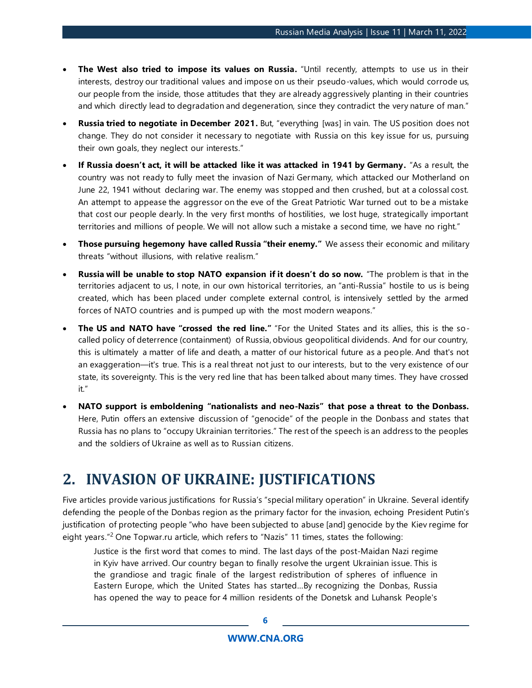- **The West also tried to impose its values on Russia.** "Until recently, attempts to use us in their interests, destroy our traditional values and impose on us their pseudo-values, which would corrode us, our people from the inside, those attitudes that they are already aggressively planting in their countries and which directly lead to degradation and degeneration, since they contradict the very nature of man."
- **Russia tried to negotiate in December 2021.** But, "everything [was] in vain. The US position does not change. They do not consider it necessary to negotiate with Russia on this key issue for us, pursuing their own goals, they neglect our interests."
- **If Russia doesn't act, it will be attacked like it was attacked in 1941 by Germany.** "As a result, the country was not ready to fully meet the invasion of Nazi Germany, which attacked our Motherland on June 22, 1941 without declaring war. The enemy was stopped and then crushed, but at a colossal cost. An attempt to appease the aggressor on the eve of the Great Patriotic War turned out to be a mistake that cost our people dearly. In the very first months of hostilities, we lost huge, strategically important territories and millions of people. We will not allow such a mistake a second time, we have no right."
- **Those pursuing hegemony have called Russia "their enemy."** We assess their economic and military threats "without illusions, with relative realism."
- **Russia will be unable to stop NATO expansion if it doesn't do so now.** "The problem is that in the territories adjacent to us, I note, in our own historical territories, an "anti-Russia" hostile to us is being created, which has been placed under complete external control, is intensively settled by the armed forces of NATO countries and is pumped up with the most modern weapons."
- **The US and NATO have "crossed the red line."** "For the United States and its allies, this is the socalled policy of deterrence (containment) of Russia, obvious geopolitical dividends. And for our country, this is ultimately a matter of life and death, a matter of our historical future as a people. And that's not an exaggeration—it's true. This is a real threat not just to our interests, but to the very existence of our state, its sovereignty. This is the very red line that has been talked about many times. They have crossed it."
- **NATO support is emboldening "nationalists and neo-Nazis" that pose a threat to the Donbass.**  Here, Putin offers an extensive discussion of "genocide" of the people in the Donbass and states that Russia has no plans to "occupy Ukrainian territories." The rest of the speech is an address to the peoples and the soldiers of Ukraine as well as to Russian citizens.

### <span id="page-5-0"></span>**2. INVASION OF UKRAINE: JUSTIFICATIONS**

Five articles provide various justifications for Russia's "special military operation" in Ukraine. Several identify defending the people of the Donbas region as the primary factor for the invasion, echoing President Putin's justification of protecting people "who have been subjected to abuse [and] genocide by the Kiev regime for eight years."<sup>2</sup> One Topwar.ru article, which refers to "Nazis" 11 times, states the following:

Justice is the first word that comes to mind. The last days of the post-Maidan Nazi regime in Kyiv have arrived. Our country began to finally resolve the urgent Ukrainian issue. This is the grandiose and tragic finale of the largest redistribution of spheres of influence in Eastern Europe, which the United States has started…By recognizing the Donbas, Russia has opened the way to peace for 4 million residents of the Donetsk and Luhansk People's

**[WWW.CNA.ORG](http://www.cna.org/)**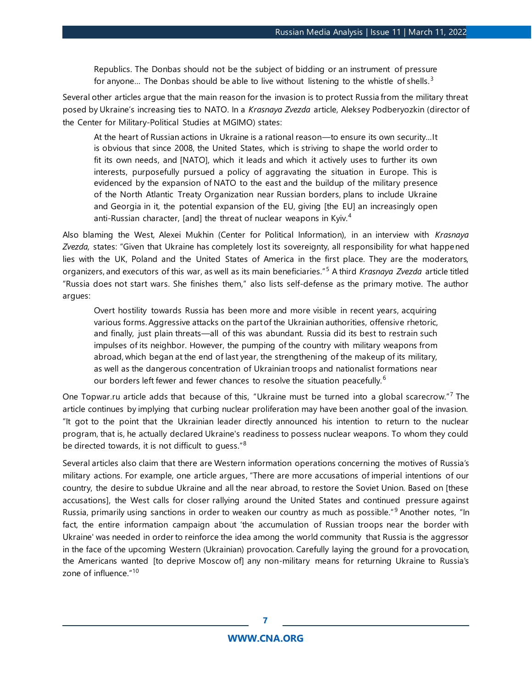Republics. The Donbas should not be the subject of bidding or an instrument of pressure for anyone... The Donbas should be able to live without listening to the whistle of shells.<sup>3</sup>

Several other articles argue that the main reason for the invasion is to protect Russia from the military threat posed by Ukraine's increasing ties to NATO. In a *Krasnaya Zvezda* article, Aleksey Podberyozkin (director of the Center for Military-Political Studies at MGIMO) states:

At the heart of Russian actions in Ukraine is a rational reason—to ensure its own security…It is obvious that since 2008, the United States, which is striving to shape the world order to fit its own needs, and [NATO], which it leads and which it actively uses to further its own interests, purposefully pursued a policy of aggravating the situation in Europe. This is evidenced by the expansion of NATO to the east and the buildup of the military presence of the North Atlantic Treaty Organization near Russian borders, plans to include Ukraine and Georgia in it, the potential expansion of the EU, giving [the EU] an increasingly open anti-Russian character, [and] the threat of nuclear weapons in Kyiv.<sup>4</sup>

Also blaming the West, Alexei Mukhin (Center for Political Information), in an interview with *Krasnaya Zvezda,* states: "Given that Ukraine has completely lost its sovereignty, all responsibility for what happened lies with the UK, Poland and the United States of America in the first place. They are the moderators, organizers, and executors of this war, as well as its main beneficiaries."<sup>5</sup> A third *Krasnaya Zvezda* article titled "Russia does not start wars. She finishes them," also lists self-defense as the primary motive. The author argues:

Overt hostility towards Russia has been more and more visible in recent years, acquiring various forms. Aggressive attacks on the part of the Ukrainian authorities, offensive rhetoric, and finally, just plain threats—all of this was abundant. Russia did its best to restrain such impulses of its neighbor. However, the pumping of the country with military weapons from abroad, which began at the end of last year, the strengthening of the makeup of its military, as well as the dangerous concentration of Ukrainian troops and nationalist formations near our borders left fewer and fewer chances to resolve the situation peacefully.<sup>6</sup>

One Topwar.ru article adds that because of this, "Ukraine must be turned into a global scarecrow."<sup>7</sup> The article continues by implying that curbing nuclear proliferation may have been another goal of the invasion. "It got to the point that the Ukrainian leader directly announced his intention to return to the nuclear program, that is, he actually declared Ukraine's readiness to possess nuclear weapons. To whom they could be directed towards, it is not difficult to quess."<sup>8</sup>

Several articles also claim that there are Western information operations concerning the motives of Russia's military actions. For example, one article argues, "There are more accusations of imperial intentions of our country, the desire to subdue Ukraine and all the near abroad, to restore the Soviet Union. Based on [these accusations], the West calls for closer rallying around the United States and continued pressure against Russia, primarily using sanctions in order to weaken our country as much as possible."<sup>9</sup> Another notes, "In fact, the entire information campaign about 'the accumulation of Russian troops near the border with Ukraine' was needed in order to reinforce the idea among the world community that Russia is the aggressor in the face of the upcoming Western (Ukrainian) provocation. Carefully laying the ground for a provocation, the Americans wanted [to deprive Moscow of] any non-military means for returning Ukraine to Russia's zone of influence."<sup>10</sup>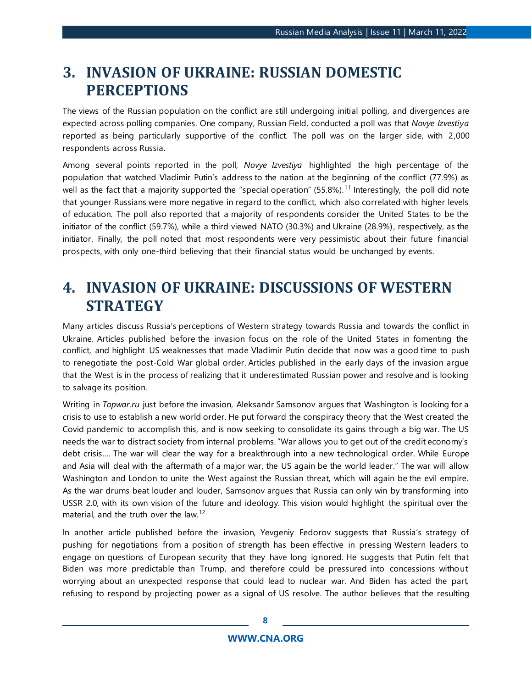# <span id="page-7-0"></span>**3. INVASION OF UKRAINE: RUSSIAN DOMESTIC PERCEPTIONS**

The views of the Russian population on the conflict are still undergoing initial polling, and divergences are expected across polling companies. One company, Russian Field, conducted a poll was that *Novye Izvestiya* reported as being particularly supportive of the conflict. The poll was on the larger side, with 2,000 respondents across Russia.

Among several points reported in the poll, *Novye Izvestiya* highlighted the high percentage of the population that watched Vladimir Putin's address to the nation at the beginning of the conflict (77.9%) as well as the fact that a majority supported the "special operation" (55.8%).<sup>11</sup> Interestingly, the poll did note that younger Russians were more negative in regard to the conflict, which also correlated with higher levels of education. The poll also reported that a majority of respondents consider the United States to be the initiator of the conflict (59.7%), while a third viewed NATO (30.3%) and Ukraine (28.9%), respectively, as the initiator. Finally, the poll noted that most respondents were very pessimistic about their future financial prospects, with only one-third believing that their financial status would be unchanged by events.

# <span id="page-7-1"></span>**4. INVASION OF UKRAINE: DISCUSSIONS OF WESTERN STRATEGY**

Many articles discuss Russia's perceptions of Western strategy towards Russia and towards the conflict in Ukraine. Articles published before the invasion focus on the role of the United States in fomenting the conflict, and highlight US weaknesses that made Vladimir Putin decide that now was a good time to push to renegotiate the post-Cold War global order. Articles published in the early days of the invasion argue that the West is in the process of realizing that it underestimated Russian power and resolve and is looking to salvage its position.

Writing in *Topwar.ru* just before the invasion, Aleksandr Samsonov argues that Washington is looking for a crisis to use to establish a new world order. He put forward the conspiracy theory that the West created the Covid pandemic to accomplish this, and is now seeking to consolidate its gains through a big war. The US needs the war to distract society from internal problems. "War allows you to get out of the credit economy's debt crisis…. The war will clear the way for a breakthrough into a new technological order. While Europe and Asia will deal with the aftermath of a major war, the US again be the world leader." The war will allow Washington and London to unite the West against the Russian threat, which will again be the evil empire. As the war drums beat louder and louder, Samsonov argues that Russia can only win by transforming into USSR 2.0, with its own vision of the future and ideology. This vision would highlight the spiritual over the material, and the truth over the law.<sup>12</sup>

In another article published before the invasion, Yevgeniy Fedorov suggests that Russia's strategy of pushing for negotiations from a position of strength has been effective in pressing Western leaders to engage on questions of European security that they have long ignored. He suggests that Putin felt that Biden was more predictable than Trump, and therefore could be pressured into concessions without worrying about an unexpected response that could lead to nuclear war. And Biden has acted the part, refusing to respond by projecting power as a signal of US resolve. The author believes that the resulting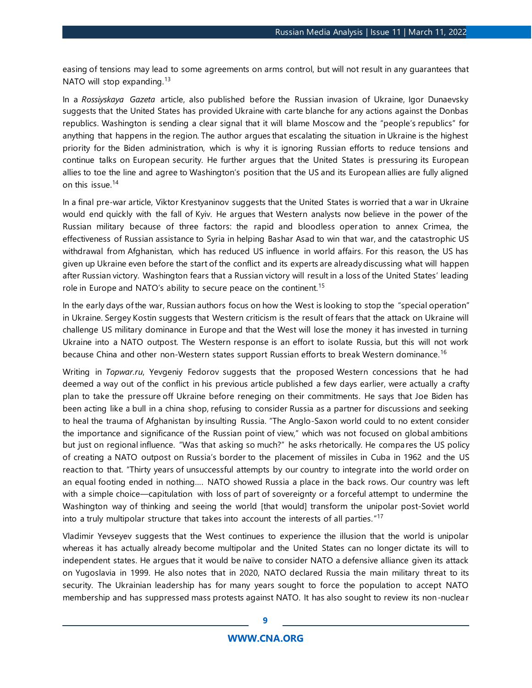easing of tensions may lead to some agreements on arms control, but will not result in any guarantees that NATO will stop expanding.<sup>13</sup>

In a *Rossiyskaya Gazeta* article, also published before the Russian invasion of Ukraine, Igor Dunaevsky suggests that the United States has provided Ukraine with carte blanche for any actions against the Donbas republics. Washington is sending a clear signal that it will blame Moscow and the "people's republics" for anything that happens in the region. The author argues that escalating the situation in Ukraine is the highest priority for the Biden administration, which is why it is ignoring Russian efforts to reduce tensions and continue talks on European security. He further argues that the United States is pressuring its European allies to toe the line and agree to Washington's position that the US and its European allies are fully aligned on this issue 14

In a final pre-war article, Viktor Krestyaninov suggests that the United States is worried that a war in Ukraine would end quickly with the fall of Kyiv. He argues that Western analysts now believe in the power of the Russian military because of three factors: the rapid and bloodless oper ation to annex Crimea, the effectiveness of Russian assistance to Syria in helping Bashar Asad to win that war, and the catastrophic US withdrawal from Afghanistan, which has reduced US influence in world affairs. For this reason, the US has given up Ukraine even before the start of the conflict and its experts are already discussing what will happen after Russian victory. Washington fears that a Russian victory will result in a loss of the United States' leading role in Europe and NATO's ability to secure peace on the continent.<sup>15</sup>

In the early days of the war, Russian authors focus on how the West is looking to stop the "special operation" in Ukraine. Sergey Kostin suggests that Western criticism is the result of fears that the attack on Ukraine will challenge US military dominance in Europe and that the West will lose the money it has invested in turning Ukraine into a NATO outpost. The Western response is an effort to isolate Russia, but this will not work because China and other non-Western states support Russian efforts to break Western dominance.<sup>16</sup>

Writing in *Topwar.ru*, Yevgeniy Fedorov suggests that the proposed Western concessions that he had deemed a way out of the conflict in his previous article published a few days earlier, were actually a crafty plan to take the pressure off Ukraine before reneging on their commitments. He says that Joe Biden has been acting like a bull in a china shop, refusing to consider Russia as a partner for discussions and seeking to heal the trauma of Afghanistan by insulting Russia. "The Anglo-Saxon world could to no extent consider the importance and significance of the Russian point of view," which was not focused on global ambitions but just on regional influence. "Was that asking so much?" he asks rhetorically. He compares the US policy of creating a NATO outpost on Russia's border to the placement of missiles in Cuba in 1962 and the US reaction to that. "Thirty years of unsuccessful attempts by our country to integrate into the world order on an equal footing ended in nothing…. NATO showed Russia a place in the back rows. Our country was left with a simple choice—capitulation with loss of part of sovereignty or a forceful attempt to undermine the Washington way of thinking and seeing the world [that would] transform the unipolar post-Soviet world into a truly multipolar structure that takes into account the interests of all parties." 17

Vladimir Yevseyev suggests that the West continues to experience the illusion that the world is unipolar whereas it has actually already become multipolar and the United States can no longer dictate its will to independent states. He argues that it would be naïve to consider NATO a defensive alliance given its attack on Yugoslavia in 1999. He also notes that in 2020, NATO declared Russia the main military threat to its security. The Ukrainian leadership has for many years sought to force the population to accept NATO membership and has suppressed mass protests against NATO. It has also sought to review its non-nuclear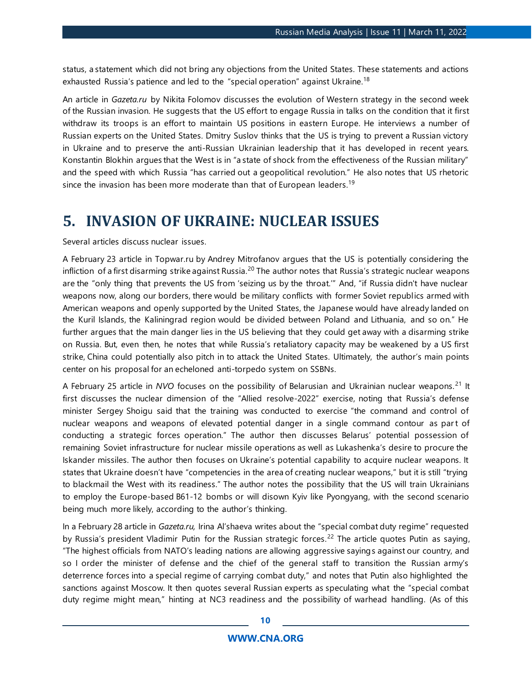status, a statement which did not bring any objections from the United States. These statements and actions exhausted Russia's patience and led to the "special operation" against Ukraine.<sup>18</sup>

An article in *Gazeta.ru* by Nikita Folomov discusses the evolution of Western strategy in the second week of the Russian invasion. He suggests that the US effort to engage Russia in talks on the condition that it first withdraw its troops is an effort to maintain US positions in eastern Europe. He interviews a number of Russian experts on the United States. Dmitry Suslov thinks that the US is trying to prevent a Russian victory in Ukraine and to preserve the anti-Russian Ukrainian leadership that it has developed in recent years. Konstantin Blokhin argues that the West is in "a state of shock from the effectiveness of the Russian military" and the speed with which Russia "has carried out a geopolitical revolution." He also notes that US rhetoric since the invasion has been more moderate than that of European leaders.<sup>19</sup>

### <span id="page-9-0"></span>**5. INVASION OF UKRAINE: NUCLEAR ISSUES**

Several articles discuss nuclear issues.

A February 23 article in Topwar.ru by Andrey Mitrofanov argues that the US is potentially considering the infliction of a first disarming strike against Russia.<sup>20</sup> The author notes that Russia's strategic nuclear weapons are the "only thing that prevents the US from 'seizing us by the throat.'" And, "if Russia didn't have nuclear weapons now, along our borders, there would be military conflicts with former Soviet republics armed with American weapons and openly supported by the United States, the Japanese would have already landed on the Kuril Islands, the Kaliningrad region would be divided between Poland and Lithuania, and so on." He further argues that the main danger lies in the US believing that they could get away with a disarming strike on Russia. But, even then, he notes that while Russia's retaliatory capacity may be weakened by a US first strike, China could potentially also pitch in to attack the United States. Ultimately, the author's main points center on his proposal for an echeloned anti-torpedo system on SSBNs.

A February 25 article in *NVO* focuses on the possibility of Belarusian and Ukrainian nuclear weapons. <sup>21</sup> It first discusses the nuclear dimension of the "Allied resolve-2022" exercise, noting that Russia's defense minister Sergey Shoigu said that the training was conducted to exercise "the command and control of nuclear weapons and weapons of elevated potential danger in a single command contour as part of conducting a strategic forces operation." The author then discusses Belarus' potential possession of remaining Soviet infrastructure for nuclear missile operations as well as Lukashenka's desire to procure the Iskander missiles. The author then focuses on Ukraine's potential capability to acquire nuclear weapons. It states that Ukraine doesn't have "competencies in the area of creating nuclear weapons," but it is still "trying to blackmail the West with its readiness." The author notes the possibility that the US will train Ukrainians to employ the Europe-based B61-12 bombs or will disown Kyiv like Pyongyang, with the second scenario being much more likely, according to the author's thinking.

In a February 28 article in *Gazeta.ru,* Irina Al'shaeva writes about the "special combat duty regime" requested by Russia's president Vladimir Putin for the Russian strategic forces.<sup>22</sup> The article quotes Putin as saying, "The highest officials from NATO's leading nations are allowing aggressive sayings against our country, and so I order the minister of defense and the chief of the general staff to transition the Russian army's deterrence forces into a special regime of carrying combat duty," and notes that Putin also highlighted the sanctions against Moscow. It then quotes several Russian experts as speculating what the "special combat duty regime might mean," hinting at NC3 readiness and the possibility of warhead handling. (As of this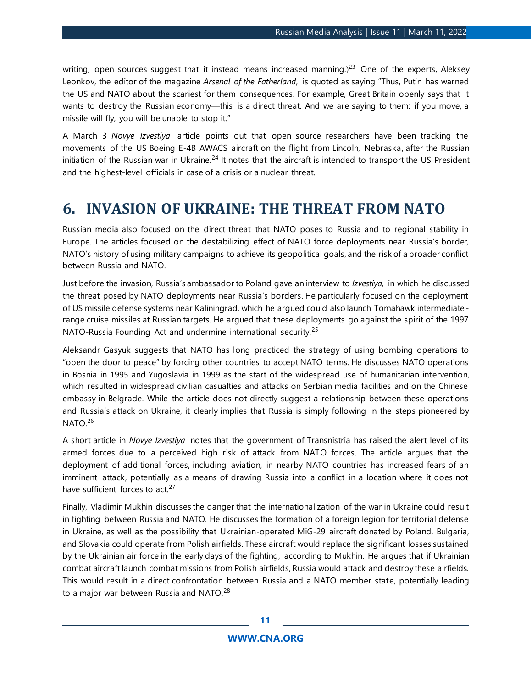writing, open sources suggest that it instead means increased manning.)<sup>23</sup> One of the experts, Aleksey Leonkov, the editor of the magazine *Arsenal of the Fatherland*, is quoted as saying "Thus, Putin has warned the US and NATO about the scariest for them consequences. For example, Great Britain openly says that it wants to destroy the Russian economy—this is a direct threat. And we are saying to them: if you move, a missile will fly, you will be unable to stop it."

A March 3 *Novye Izvestiya* article points out that open source researchers have been tracking the movements of the US Boeing E-4B AWACS aircraft on the flight from Lincoln, Nebraska, after the Russian initiation of the Russian war in Ukraine. $^{24}$  It notes that the aircraft is intended to transport the US President and the highest-level officials in case of a crisis or a nuclear threat.

### <span id="page-10-0"></span>**6. INVASION OF UKRAINE: THE THREAT FROM NATO**

Russian media also focused on the direct threat that NATO poses to Russia and to regional stability in Europe. The articles focused on the destabilizing effect of NATO force deployments near Russia's border, NATO's history of using military campaigns to achieve its geopolitical goals, and the risk of a broader conflict between Russia and NATO.

Just before the invasion, Russia's ambassador to Poland gave an interview to *Izvestiya,* in which he discussed the threat posed by NATO deployments near Russia's borders. He particularly focused on the deployment of US missile defense systems near Kaliningrad, which he argued could also launch Tomahawk intermediate range cruise missiles at Russian targets. He argued that these deployments go against the spirit of the 1997 NATO-Russia Founding Act and undermine international security.<sup>25</sup>

Aleksandr Gasyuk suggests that NATO has long practiced the strategy of using bombing operations to "open the door to peace" by forcing other countries to accept NATO terms. He discusses NATO operations in Bosnia in 1995 and Yugoslavia in 1999 as the start of the widespread use of humanitarian intervention, which resulted in widespread civilian casualties and attacks on Serbian media facilities and on the Chinese embassy in Belgrade. While the article does not directly suggest a relationship between these operations and Russia's attack on Ukraine, it clearly implies that Russia is simply following in the steps pioneered by NATO.<sup>26</sup>

A short article in *Novye Izvestiya* notes that the government of Transnistria has raised the alert level of its armed forces due to a perceived high risk of attack from NATO forces. The article argues that the deployment of additional forces, including aviation, in nearby NATO countries has increased fears of an imminent attack, potentially as a means of drawing Russia into a conflict in a location where it does not have sufficient forces to act.<sup>27</sup>

Finally, Vladimir Mukhin discusses the danger that the internationalization of the war in Ukraine could result in fighting between Russia and NATO. He discusses the formation of a foreign legion for territorial defense in Ukraine, as well as the possibility that Ukrainian-operated MiG-29 aircraft donated by Poland, Bulgaria, and Slovakia could operate from Polish airfields. These aircraft would replace the significant losses sustained by the Ukrainian air force in the early days of the fighting, according to Mukhin. He argues that if Ukrainian combat aircraft launch combat missions from Polish airfields, Russia would attack and destroy these airfields. This would result in a direct confrontation between Russia and a NATO member state, potentially leading to a major war between Russia and NATO.<sup>28</sup>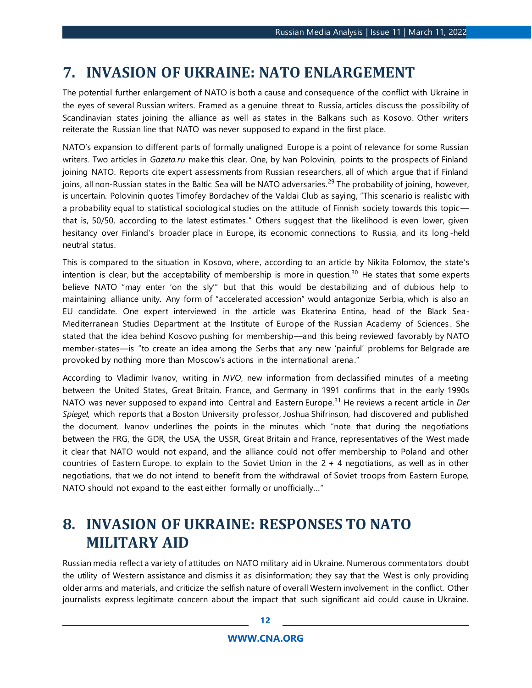### <span id="page-11-0"></span>**7. INVASION OF UKRAINE: NATO ENLARGEMENT**

The potential further enlargement of NATO is both a cause and consequence of the conflict with Ukraine in the eyes of several Russian writers. Framed as a genuine threat to Russia, articles discuss the possibility of Scandinavian states joining the alliance as well as states in the Balkans such as Kosovo. Other writers reiterate the Russian line that NATO was never supposed to expand in the first place.

NATO's expansion to different parts of formally unaligned Europe is a point of relevance for some Russian writers. Two articles in *Gazeta.ru* make this clear. One, by Ivan Polovinin, points to the prospects of Finland joining NATO. Reports cite expert assessments from Russian researchers, all of which argue that if Finland joins, all non-Russian states in the Baltic Sea will be NATO adversaries.<sup>29</sup> The probability of joining, however, is uncertain. Polovinin quotes Timofey Bordachev of the Valdai Club as saying, "This scenario is realistic with a probability equal to statistical sociological studies on the attitude of Finnish society towards this topic that is, 50/50, according to the latest estimates." Others suggest that the likelihood is even lower, given hesitancy over Finland's broader place in Europe, its economic connections to Russia, and its long-held neutral status.

This is compared to the situation in Kosovo, where, according to an article by Nikita Folomov, the state's intention is clear, but the acceptability of membership is more in question.<sup>30</sup> He states that some experts believe NATO "may enter 'on the sly'" but that this would be destabilizing and of dubious help to maintaining alliance unity. Any form of "accelerated accession" would antagonize Serbia, which is also an EU candidate. One expert interviewed in the article was Ekaterina Entina, head of the Black Sea-Mediterranean Studies Department at the Institute of Europe of the Russian Academy of Sciences . She stated that the idea behind Kosovo pushing for membership—and this being reviewed favorably by NATO member-states—is "to create an idea among the Serbs that any new 'painful' problems for Belgrade are provoked by nothing more than Moscow's actions in the international arena."

According to Vladimir Ivanov, writing in *NVO*, new information from declassified minutes of a meeting between the United States, Great Britain, France, and Germany in 1991 confirms that in the early 1990s NATO was never supposed to expand into Central and Eastern Europe.<sup>31</sup> He reviews a recent article in *Der Spiegel*, which reports that a Boston University professor, Joshua Shifrinson, had discovered and published the document. Ivanov underlines the points in the minutes which "note that during the negotiations between the FRG, the GDR, the USA, the USSR, Great Britain and France, representatives of the West made it clear that NATO would not expand, and the alliance could not offer membership to Poland and other countries of Eastern Europe. to explain to the Soviet Union in the 2 + 4 negotiations, as well as in other negotiations, that we do not intend to benefit from the withdrawal of Soviet troops from Eastern Europe, NATO should not expand to the east either formally or unofficially…"

# <span id="page-11-1"></span>**8. INVASION OF UKRAINE: RESPONSES TO NATO MILITARY AID**

Russian media reflect a variety of attitudes on NATO military aid in Ukraine. Numerous commentators doubt the utility of Western assistance and dismiss it as disinformation; they say that the West is only providing older arms and materials, and criticize the selfish nature of overall Western involvement in the conflict. Other journalists express legitimate concern about the impact that such significant aid could cause in Ukraine.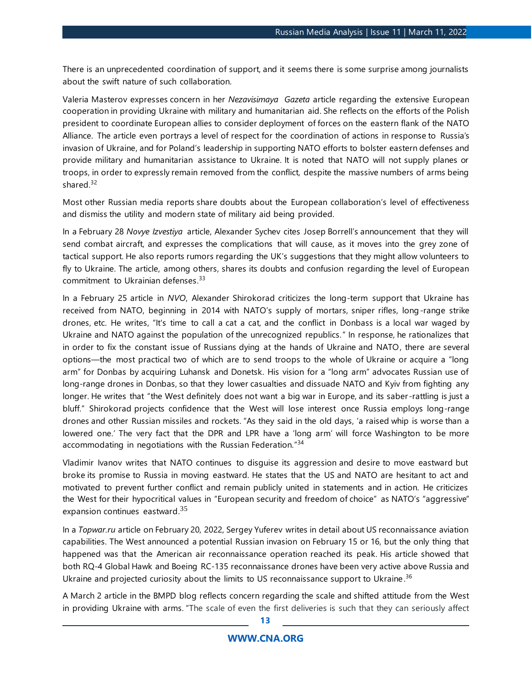There is an unprecedented coordination of support, and it seems there is some surprise among journalists about the swift nature of such collaboration.

Valeria Masterov expresses concern in her *Nezavisimaya Gazeta* article regarding the extensive European cooperation in providing Ukraine with military and humanitarian aid. She reflects on the efforts of the Polish president to coordinate European allies to consider deployment of forces on the eastern flank of the NATO Alliance. The article even portrays a level of respect for the coordination of actions in response to Russia's invasion of Ukraine, and for Poland's leadership in supporting NATO efforts to bolster eastern defenses and provide military and humanitarian assistance to Ukraine. It is noted that NATO will not supply planes or troops, in order to expressly remain removed from the conflict, despite the massive numbers of arms being shared.<sup>32</sup>

Most other Russian media reports share doubts about the European collaboration's level of effectiveness and dismiss the utility and modern state of military aid being provided.

In a February 28 *Novye Izvestiya* article, Alexander Sychev cites Josep Borrell's announcement that they will send combat aircraft, and expresses the complications that will cause, as it moves into the grey zone of tactical support. He also reports rumors regarding the UK's suggestions that they might allow volunteers to fly to Ukraine. The article, among others, shares its doubts and confusion regarding the level of European commitment to Ukrainian defenses.<sup>33</sup>

In a February 25 article in *NVO*, Alexander Shirokorad criticizes the long-term support that Ukraine has received from NATO, beginning in 2014 with NATO's supply of mortars, sniper rifles, long-range strike drones, etc. He writes, "It's time to call a cat a cat, and the conflict in Donbass is a local war waged by Ukraine and NATO against the population of the unrecognized republics." In response, he rationalizes that in order to fix the constant issue of Russians dying at the hands of Ukraine and NATO, there are several options—the most practical two of which are to send troops to the whole of Ukraine or acquire a "long arm" for Donbas by acquiring Luhansk and Donetsk. His vision for a "long arm" advocates Russian use of long-range drones in Donbas, so that they lower casualties and dissuade NATO and Kyiv from fighting any longer. He writes that "the West definitely does not want a big war in Europe, and its saber -rattling is just a bluff." Shirokorad projects confidence that the West will lose interest once Russia employs long-range drones and other Russian missiles and rockets. "As they said in the old days, 'a raised whip is worse than a lowered one.' The very fact that the DPR and LPR have a 'long arm' will force Washington to be more accommodating in negotiations with the Russian Federation."<sup>34</sup>

Vladimir Ivanov writes that NATO continues to disguise its aggression and desire to move eastward but broke its promise to Russia in moving eastward. He states that the US and NATO are hesitant to act and motivated to prevent further conflict and remain publicly united in statements and in action. He criticizes the West for their hypocritical values in "European security and freedom of choice" as NATO's "aggressive" expansion continues eastward. $^{35}$ 

In a *[Topwar.ru](https://urldefense.us/v3/__http:/TopWar.ru__;!!JrmCwc4xXN63PQ!ybIXxzmd0hovSibl0mLgeQj829VrnnoTb0qYpY5XC-Xg7OFxAF7HN-9RkuiH$)* article on February 20, 2022, Sergey Yuferev writes in detail about US reconnaissance aviation capabilities. The West announced a potential Russian invasion on February 15 or 16, but the only thing that happened was that the American air reconnaissance operation reached its peak. His article showed that both RQ-4 Global Hawk and Boeing RC-135 reconnaissance drones have been very active above Russia and Ukraine and projected curiosity about the limits to US reconnaissance support to Ukraine.<sup>36</sup>

A March 2 article in the BMPD blog reflects concern regarding the scale and shifted attitude from the West in providing Ukraine with arms. "The scale of even the first deliveries is such that they can seriously affect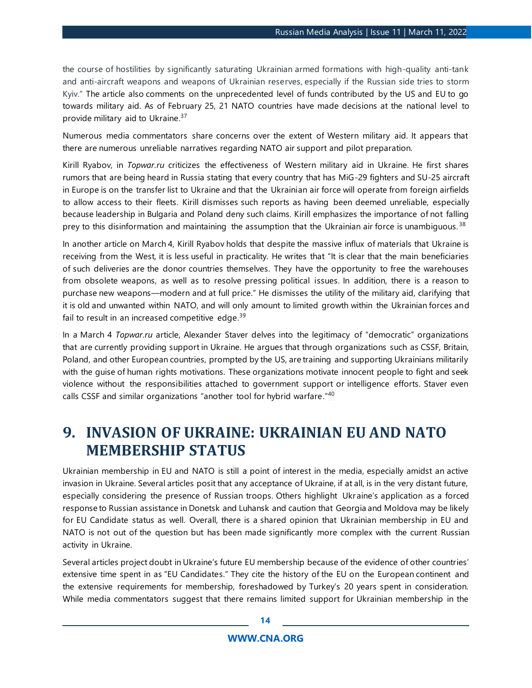the course of hostilities by significantly saturating Ukrainian armed formations with high-quality anti-tank and anti-aircraft weapons and weapons of Ukrainian reserves, especially if the Russian side tries to storm Kyiv." The article also comments on the unprecedented level of funds contributed by the US and EU to go towards military aid. As of February 25, 21 NATO countries have made decisions at the national level to provide military aid to Ukraine.<sup>37</sup>

Numerous media commentators share concerns over the extent of Western military aid. It appears that there are numerous unreliable narratives regarding NATO air support and pilot preparation.

Kirill Ryabov, in *[Topwar.ru](https://urldefense.us/v3/__http:/TopWar.ru__;!!JrmCwc4xXN63PQ!ybIXxzmd0hovSibl0mLgeQj829VrnnoTb0qYpY5XC-Xg7OFxAF7HN-9RkuiH$)* criticizes the effectiveness of Western military aid in Ukraine. He first shares rumors that are being heard in Russia stating that every country that has MiG-29 fighters and SU-25 aircraft in Europe is on the transfer list to Ukraine and that the Ukrainian air force will operate from foreign airfields to allow access to their fleets. Kirill dismisses such reports as having been deemed unreliable, especially because leadership in Bulgaria and Poland deny such claims. Kirill emphasizes the importance of not falling prey to this disinformation and maintaining the assumption that the Ukrainian air force is unambiguous.<sup>38</sup>

In another article on March 4, Kirill Ryabov holds that despite the massive influx of materials that Ukraine is receiving from the West, it is less useful in practicality. He writes that "It is clear that the main beneficiaries of such deliveries are the donor countries themselves. They have the opportunity to free the warehouses from obsolete weapons, as well as to resolve pressing political issues. In addition, there is a reason to purchase new weapons—modern and at full price." He dismisses the utility of the military aid, clarifying that it is old and unwanted within NATO, and will only amount to limited growth within the Ukrainian forces and fail to result in an increased competitive edge.<sup>39</sup>

In a March 4 *Topwar.ru* article, Alexander Staver delves into the legitimacy of "democratic" organizations that are currently providing support in Ukraine. He argues that through organizations such as CSSF, Britain, Poland, and other European countries, prompted by the US, are training and supporting Ukrainians militarily with the guise of human rights motivations. These organizations motivate innocent people to fight and seek violence without the responsibilities attached to government support or intelligence efforts. Staver even calls CSSF and similar organizations "another tool for hybrid warfare."<sup>40</sup>

# <span id="page-13-0"></span>**9. INVASION OF UKRAINE: UKRAINIAN EU AND NATO MEMBERSHIP STATUS**

Ukrainian membership in EU and NATO is still a point of interest in the media, especially amidst an active invasion in Ukraine. Several articles posit that any acceptance of Ukraine, if at all, is in the very distant future, especially considering the presence of Russian troops. Others highlight Ukraine's application as a forced response to Russian assistance in Donetsk and Luhansk and caution that Georgia and Moldova may be likely for EU Candidate status as well. Overall, there is a shared opinion that Ukrainian membership in EU and NATO is not out of the question but has been made significantly more complex with the current Russian activity in Ukraine.

Several articles project doubt in Ukraine's future EU membership because of the evidence of other countries' extensive time spent in as "EU Candidates." They cite the history of the EU on the European continent and the extensive requirements for membership, foreshadowed by Turkey's 20 years spent in consideration. While media commentators suggest that there remains limited support for Ukrainian membership in the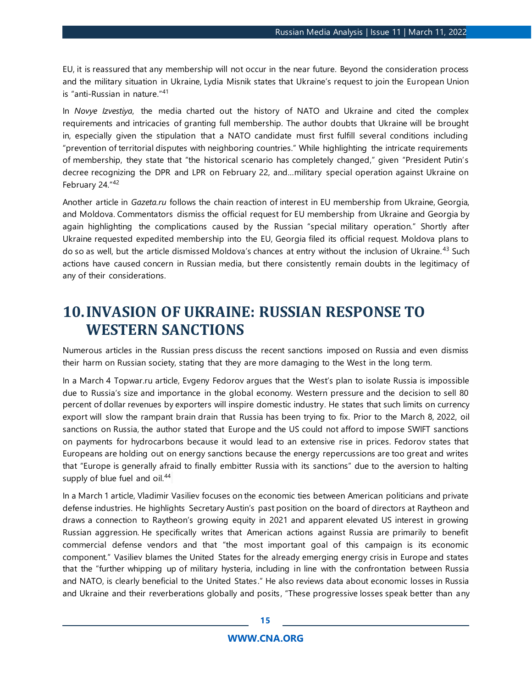EU, it is reassured that any membership will not occur in the near future. Beyond the consideration process and the military situation in Ukraine, Lydia Misnik states that Ukraine's request to join the European Union is "anti-Russian in nature."<sup>41</sup>

In *Novye Izvestiya*, the media charted out the history of NATO and Ukraine and cited the complex requirements and intricacies of granting full membership. The author doubts that Ukraine will be brought in, especially given the stipulation that a NATO candidate must first fulfill several conditions including "prevention of territorial disputes with neighboring countries." While highlighting the intricate requirements of membership, they state that "the historical scenario has completely changed," given "President Putin's decree recognizing the DPR and LPR on February 22, and…military special operation against Ukraine on February 24."<sup>42</sup>

Another article in *Gazeta.ru* follows the chain reaction of interest in EU membership from Ukraine, Georgia, and Moldova. Commentators dismiss the official request for EU membership from Ukraine and Georgia by again highlighting the complications caused by the Russian "special military operation." Shortly after Ukraine requested expedited membership into the EU, Georgia filed its official request. Moldova plans to do so as well, but the article dismissed Moldova's chances at entry without the inclusion of Ukraine. <sup>43</sup> Such actions have caused concern in Russian media, but there consistently remain doubts in the legitimacy of any of their considerations.

# <span id="page-14-0"></span>**10.INVASION OF UKRAINE: RUSSIAN RESPONSE TO WESTERN SANCTIONS**

Numerous articles in the Russian press discuss the recent sanctions imposed on Russia and even dismiss their harm on Russian society, stating that they are more damaging to the West in the long term.

In a March 4 Topwar.ru article, Evgeny Fedorov argues that the West's plan to isolate Russia is impossible due to Russia's size and importance in the global economy. Western pressure and the decision to sell 80 percent of dollar revenues by exporters will inspire domestic industry. He states that such limits on currency export will slow the rampant brain drain that Russia has been trying to fix. Prior to the March 8, 2022, oil sanctions on Russia, the author stated that Europe and the US could not afford to impose SWIFT sanctions on payments for hydrocarbons because it would lead to an extensive rise in prices. Fedorov states that Europeans are holding out on energy sanctions because the energy repercussions are too great and writes that "Europe is generally afraid to finally embitter Russia with its sanctions" due to the aversion to halting supply of blue fuel and oil.<sup>44</sup>

In a March 1 article, Vladimir Vasiliev focuses on the economic ties between American politicians and private defense industries. He highlights Secretary Austin's past position on the board of directors at Raytheon and draws a connection to Raytheon's growing equity in 2021 and apparent elevated US interest in growing Russian aggression. He specifically writes that American actions against Russia are primarily to benefit commercial defense vendors and that "the most important goal of this campaign is its economic component." Vasiliev blames the United States for the already emerging energy crisis in Europe and states that the "further whipping up of military hysteria, including in line with the confrontation between Russia and NATO, is clearly beneficial to the United States." He also reviews data about economic losses in Russia and Ukraine and their reverberations globally and posits, "These progressive losses speak better than any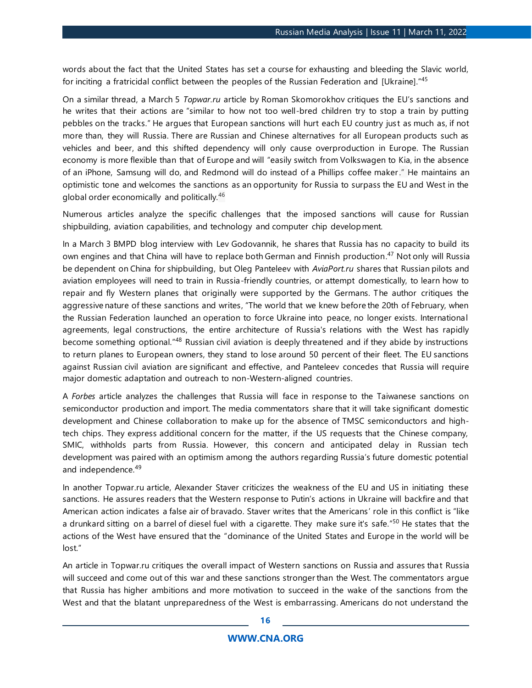words about the fact that the United States has set a course for exhausting and bleeding the Slavic world, for inciting a fratricidal conflict between the peoples of the Russian Federation and [Ukraine]."45

On a similar thread, a March 5 *Topwar.ru* article by Roman Skomorokhov critiques the EU's sanctions and he writes that their actions are "similar to how not too well-bred children try to stop a train by putting pebbles on the tracks." He argues that European sanctions will hurt each EU country just as much as, if not more than, they will Russia. There are Russian and Chinese alternatives for all European products such as vehicles and beer, and this shifted dependency will only cause overproduction in Europe. The Russian economy is more flexible than that of Europe and will "easily switch from Volkswagen to Kia, in the absence of an iPhone, Samsung will do, and Redmond will do instead of a Phillips coffee maker." He maintains an optimistic tone and welcomes the sanctions as an opportunity for Russia to surpass the EU and West in the global order economically and politically.<sup>46</sup>

Numerous articles analyze the specific challenges that the imposed sanctions will cause for Russian shipbuilding, aviation capabilities, and technology and computer chip development.

In a March 3 BMPD blog interview with Lev Godovannik, he shares that Russia has no capacity to build its own engines and that China will have to replace both German and Finnish production. <sup>47</sup> Not only will Russia be dependent on China for shipbuilding, but Oleg Panteleev with *AviaPort.ru* shares that Russian pilots and aviation employees will need to train in Russia-friendly countries, or attempt domestically, to learn how to repair and fly Western planes that originally were supported by the Germans. The author critiques the aggressive nature of these sanctions and writes, "The world that we knew before the 20th of February, when the Russian Federation launched an operation to force Ukraine into peace, no longer exists. International agreements, legal constructions, the entire architecture of Russia's relations with the West has rapidly become something optional."<sup>48</sup> Russian civil aviation is deeply threatened and if they abide by instructions to return planes to European owners, they stand to lose around 50 percent of their fleet. The EU sanctions against Russian civil aviation are significant and effective, and Panteleev concedes that Russia will require major domestic adaptation and outreach to non-Western-aligned countries.

A *Forbes* article analyzes the challenges that Russia will face in response to the Taiwanese sanctions on semiconductor production and import. The media commentators share that it will take significant domestic development and Chinese collaboration to make up for the absence of TMSC semiconductors and hightech chips. They express additional concern for the matter, if the US requests that the Chinese company, SMIC, withholds parts from Russia. However, this concern and anticipated delay in Russian tech development was paired with an optimism among the authors regarding Russia's future domestic potential and independence.<sup>49</sup>

In another Topwar.ru article, Alexander Staver criticizes the weakness of the EU and US in initiating these sanctions. He assures readers that the Western response to Putin's actions in Ukraine will backfire and that American action indicates a false air of bravado. Staver writes that the Americans' role in this conflict is "like a drunkard sitting on a barrel of diesel fuel with a cigarette. They make sure it's safe."<sup>50</sup> He states that the actions of the West have ensured that the "dominance of the United States and Europe in the world will be lost."

An article in Topwar.ru critiques the overall impact of Western sanctions on Russia and assures that Russia will succeed and come out of this war and these sanctions stronger than the West. The commentators argue that Russia has higher ambitions and more motivation to succeed in the wake of the sanctions from the West and that the blatant unpreparedness of the West is embarrassing. Americans do not understand the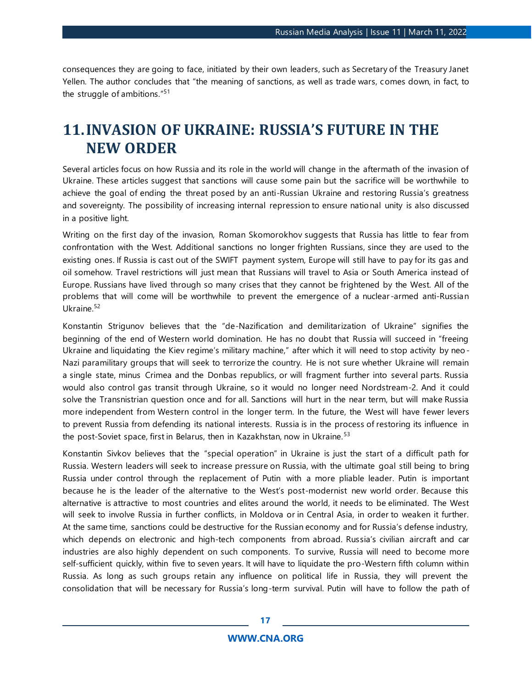consequences they are going to face, initiated by their own leaders, such as Secretary of the Treasury Janet Yellen. The author concludes that "the meaning of sanctions, as well as trade wars, comes down, in fact, to the struggle of ambitions."<sup>51</sup>

# <span id="page-16-0"></span>**11.INVASION OF UKRAINE: RUSSIA'S FUTURE IN THE NEW ORDER**

Several articles focus on how Russia and its role in the world will change in the aftermath of the invasion of Ukraine. These articles suggest that sanctions will cause some pain but the sacrifice will be worthwhile to achieve the goal of ending the threat posed by an anti-Russian Ukraine and restoring Russia's greatness and sovereignty. The possibility of increasing internal repression to ensure national unity is also discussed in a positive light.

Writing on the first day of the invasion, Roman Skomorokhov suggests that Russia has little to fear from confrontation with the West. Additional sanctions no longer frighten Russians, since they are used to the existing ones. If Russia is cast out of the SWIFT payment system, Europe will still have to pay for its gas and oil somehow. Travel restrictions will just mean that Russians will travel to Asia or South America instead of Europe. Russians have lived through so many crises that they cannot be frightened by the West. All of the problems that will come will be worthwhile to prevent the emergence of a nuclear -armed anti-Russian Ukraine<sup>52</sup>

Konstantin Strigunov believes that the "de-Nazification and demilitarization of Ukraine" signifies the beginning of the end of Western world domination. He has no doubt that Russia will succeed in "freeing Ukraine and liquidating the Kiev regime's military machine," after which it will need to stop activity by neo-Nazi paramilitary groups that will seek to terrorize the country. He is not sure whether Ukraine will remain a single state, minus Crimea and the Donbas republics, or will fragment further into several parts. Russia would also control gas transit through Ukraine, so it would no longer need Nordstream-2. And it could solve the Transnistrian question once and for all. Sanctions will hurt in the near term, but will make Russia more independent from Western control in the longer term. In the future, the West will have fewer levers to prevent Russia from defending its national interests. Russia is in the process of restoring its influence in the post-Soviet space, first in Belarus, then in Kazakhstan, now in Ukraine.<sup>53</sup>

Konstantin Sivkov believes that the "special operation" in Ukraine is just the start of a difficult path for Russia. Western leaders will seek to increase pressure on Russia, with the ultimate goal still being to bring Russia under control through the replacement of Putin with a more pliable leader. Putin is important because he is the leader of the alternative to the West's post-modernist new world order. Because this alternative is attractive to most countries and elites around the world, it needs to be eliminated. The West will seek to involve Russia in further conflicts, in Moldova or in Central Asia, in order to weaken it further. At the same time, sanctions could be destructive for the Russian economy and for Russia's defense industry, which depends on electronic and high-tech components from abroad. Russia's civilian aircraft and car industries are also highly dependent on such components. To survive, Russia will need to become more self-sufficient quickly, within five to seven years. It will have to liquidate the pro-Western fifth column within Russia. As long as such groups retain any influence on political life in Russia, they will prevent the consolidation that will be necessary for Russia's long-term survival. Putin will have to follow the path of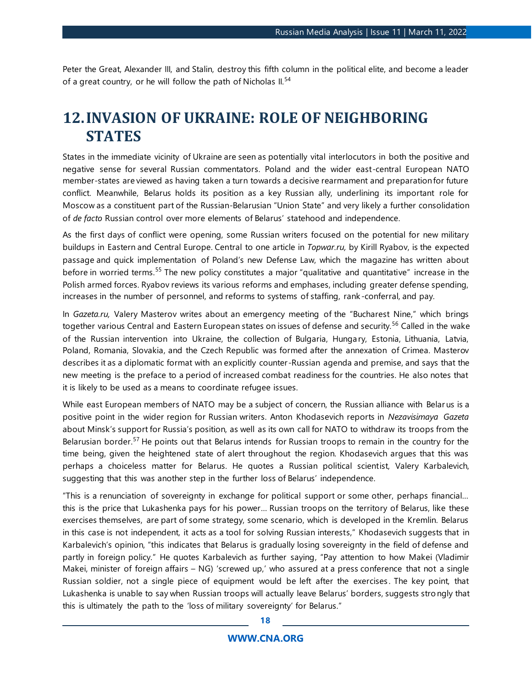Peter the Great, Alexander III, and Stalin, destroy this fifth column in the political elite, and become a leader of a great country, or he will follow the path of Nicholas II.<sup>54</sup>

# <span id="page-17-0"></span>**12.INVASION OF UKRAINE: ROLE OF NEIGHBORING STATES**

States in the immediate vicinity of Ukraine are seen as potentially vital interlocutors in both the positive and negative sense for several Russian commentators. Poland and the wider east-central European NATO member-states are viewed as having taken a turn towards a decisive rearmament and preparation for future conflict. Meanwhile, Belarus holds its position as a key Russian ally, underlining its important role for Moscow as a constituent part of the Russian-Belarusian "Union State" and very likely a further consolidation of *de facto* Russian control over more elements of Belarus' statehood and independence.

As the first days of conflict were opening, some Russian writers focused on the potential for new military buildups in Eastern and Central Europe. Central to one article in *Topwar.ru,* by Kirill Ryabov, is the expected passage and quick implementation of Poland's new Defense Law, which the magazine has written about before in worried terms.<sup>55</sup> The new policy constitutes a major "qualitative and quantitative" increase in the Polish armed forces. Ryabov reviews its various reforms and emphases, including greater defense spending, increases in the number of personnel, and reforms to systems of staffing, rank -conferral, and pay.

In *Gazeta.ru,* Valery Masterov writes about an emergency meeting of the "Bucharest Nine," which brings together various Central and Eastern European states on issues of defense and security.<sup>56</sup> Called in the wake of the Russian intervention into Ukraine, the collection of Bulgaria, Hungary, Estonia, Lithuania, Latvia, Poland, Romania, Slovakia, and the Czech Republic was formed after the annexation of Crimea. Masterov describes it as a diplomatic format with an explicitly counter-Russian agenda and premise, and says that the new meeting is the preface to a period of increased combat readiness for the countries. He also notes that it is likely to be used as a means to coordinate refugee issues.

While east European members of NATO may be a subject of concern, the Russian alliance with Belar us is a positive point in the wider region for Russian writers. Anton Khodasevich reports in *Nezavisimaya Gazeta* about Minsk's support for Russia's position, as well as its own call for NATO to withdraw its troops from the Belarusian border.<sup>57</sup> He points out that Belarus intends for Russian troops to remain in the country for the time being, given the heightened state of alert throughout the region. Khodasevich argues that this was perhaps a choiceless matter for Belarus. He quotes a Russian political scientist, Valery Karbalevich, suggesting that this was another step in the further loss of Belarus' independence.

"This is a renunciation of sovereignty in exchange for political support or some other, perhaps financial… this is the price that Lukashenka pays for his power… Russian troops on the territory of Belarus, like these exercises themselves, are part of some strategy, some scenario, which is developed in the Kremlin. Belarus in this case is not independent, it acts as a tool for solving Russian interests," Khodasevich suggests that in Karbalevich's opinion, "this indicates that Belarus is gradually losing sovereignty in the field of defense and partly in foreign policy." He quotes Karbalevich as further saying, "Pay attention to how Makei (Vladimir Makei, minister of foreign affairs – NG) 'screwed up,' who assured at a press conference that not a single Russian soldier, not a single piece of equipment would be left after the exercises . The key point, that Lukashenka is unable to say when Russian troops will actually leave Belarus' borders, suggests strongly that this is ultimately the path to the 'loss of military sovereignty' for Belarus."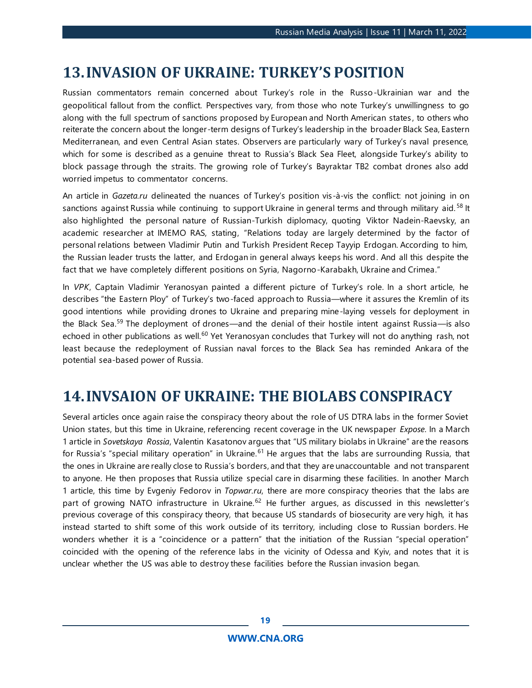# <span id="page-18-0"></span>**13.INVASION OF UKRAINE: TURKEY'S POSITION**

Russian commentators remain concerned about Turkey's role in the Russo-Ukrainian war and the geopolitical fallout from the conflict. Perspectives vary, from those who note Turkey's unwillingness to go along with the full spectrum of sanctions proposed by European and North American states , to others who reiterate the concern about the longer-term designs of Turkey's leadership in the broader Black Sea, Eastern Mediterranean, and even Central Asian states. Observers are particularly wary of Turkey's naval presence, which for some is described as a genuine threat to Russia's Black Sea Fleet, alongside Turkey's ability to block passage through the straits. The growing role of Turkey's Bayraktar TB2 combat drones also add worried impetus to commentator concerns.

An article in *Gazeta.ru* delineated the nuances of Turkey's position vis-à-vis the conflict: not joining in on sanctions against Russia while continuing to support Ukraine in general terms and through military aid.<sup>58</sup> It also highlighted the personal nature of Russian-Turkish diplomacy, quoting Viktor Nadein-Raevsky, an academic researcher at IMEMO RAS, stating, "Relations today are largely determined by the factor of personal relations between Vladimir Putin and Turkish President Recep Tayyip Erdogan. According to him, the Russian leader trusts the latter, and Erdogan in general always keeps his word. And all this despite the fact that we have completely different positions on Syria, Nagorno-Karabakh, Ukraine and Crimea."

In *VPK*, Captain Vladimir Yeranosyan painted a different picture of Turkey's role. In a short article, he describes "the Eastern Ploy" of Turkey's two-faced approach to Russia—where it assures the Kremlin of its good intentions while providing drones to Ukraine and preparing mine-laying vessels for deployment in the Black Sea.<sup>59</sup> The deployment of drones—and the denial of their hostile intent against Russia—is also echoed in other publications as well.<sup>60</sup> Yet Yeranosyan concludes that Turkey will not do anything rash, not least because the redeployment of Russian naval forces to the Black Sea has reminded Ankara of the potential sea-based power of Russia.

# <span id="page-18-1"></span>**14.INVSAION OF UKRAINE: THE BIOLABS CONSPIRACY**

Several articles once again raise the conspiracy theory about the role of US DTRA labs in the former Soviet Union states, but this time in Ukraine, referencing recent coverage in the UK newspaper *Expose*. In a March 1 article in *Sovetskaya Rossia*, Valentin Kasatonov argues that "US military biolabs in Ukraine" are the reasons for Russia's "special military operation" in Ukraine.<sup>61</sup> He argues that the labs are surrounding Russia, that the ones in Ukraine are really close to Russia's borders, and that they are unaccountable and not transparent to anyone. He then proposes that Russia utilize special care in disarming these facilities. In another March 1 article, this time by Evgeniy Fedorov in *Topwar.ru*, there are more conspiracy theories that the labs are part of growing NATO infrastructure in Ukraine.<sup>62</sup> He further argues, as discussed in this newsletter's previous coverage of this conspiracy theory, that because US standards of biosecurity are very high, it has instead started to shift some of this work outside of its territory, including close to Russian borders. He wonders whether it is a "coincidence or a pattern" that the initiation of the Russian "special operation" coincided with the opening of the reference labs in the vicinity of Odessa and Kyiv, and notes that it is unclear whether the US was able to destroy these facilities before the Russian invasion began.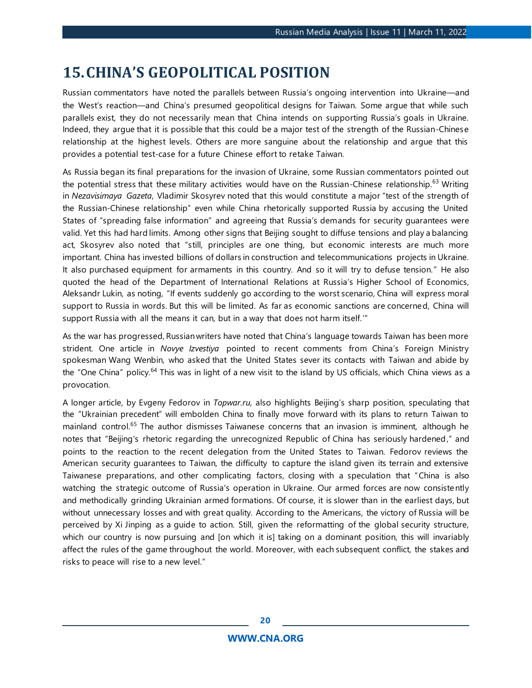# <span id="page-19-0"></span>**15.CHINA'S GEOPOLITICAL POSITION**

Russian commentators have noted the parallels between Russia's ongoing intervention into Ukraine—and the West's reaction—and China's presumed geopolitical designs for Taiwan. Some argue that while such parallels exist, they do not necessarily mean that China intends on supporting Russia's goals in Ukraine. Indeed, they argue that it is possible that this could be a major test of the strength of the Russian-Chinese relationship at the highest levels. Others are more sanguine about the relationship and argue that this provides a potential test-case for a future Chinese effort to retake Taiwan.

As Russia began its final preparations for the invasion of Ukraine, some Russian commentators pointed out the potential stress that these military activities would have on the Russian-Chinese relationship.<sup>63</sup> Writing in *Nezavisimaya Gazeta*, Vladimir Skosyrev noted that this would constitute a major "test of the strength of the Russian-Chinese relationship" even while China rhetorically supported Russia by accusing the United States of "spreading false information" and agreeing that Russia's demands for security guarantees were valid. Yet this had hard limits. Among other signs that Beijing sought to diffuse tensions and play a balancing act, Skosyrev also noted that "still, principles are one thing, but economic interests are much more important. China has invested billions of dollars in construction and telecommunications projects in Ukraine. It also purchased equipment for armaments in this country. And so it will try to defuse tension." He also quoted the head of the Department of International Relations at Russia's Higher School of Economics, Aleksandr Lukin, as noting, "If events suddenly go according to the worst scenario, China will express moral support to Russia in words. But this will be limited. As far as economic sanctions are concerned, China will support Russia with all the means it can, but in a way that does not harm itself.'"

As the war has progressed, Russian writers have noted that China's language towards Taiwan has been more strident. One article in *Novye Izvestiya* pointed to recent comments from China's Foreign Ministry spokesman Wang Wenbin, who asked that the United States sever its contacts with Taiwan and abide by the "One China" policy.<sup>64</sup> This was in light of a new visit to the island by US officials, which China views as a provocation.

A longer article, by Evgeny Fedorov in *Topwar.ru,* also highlights Beijing's sharp position, speculating that the "Ukrainian precedent" will embolden China to finally move forward with its plans to return Taiwan to mainland control.<sup>65</sup> The author dismisses Taiwanese concerns that an invasion is imminent, although he notes that "Beijing's rhetoric regarding the unrecognized Republic of China has seriously hardened," and points to the reaction to the recent delegation from the United States to Taiwan. Fedorov reviews the American security guarantees to Taiwan, the difficulty to capture the island given its terrain and extensive Taiwanese preparations, and other complicating factors, closing with a speculation that "China is also watching the strategic outcome of Russia's operation in Ukraine. Our armed forces are now consistently and methodically grinding Ukrainian armed formations. Of course, it is slower than in the earliest days, but without unnecessary losses and with great quality. According to the Americans, the victory of Russia will be perceived by Xi Jinping as a guide to action. Still, given the reformatting of the global security structure, which our country is now pursuing and [on which it is] taking on a dominant position, this will invariably affect the rules of the game throughout the world. Moreover, with each subsequent conflict, the stakes and risks to peace will rise to a new level."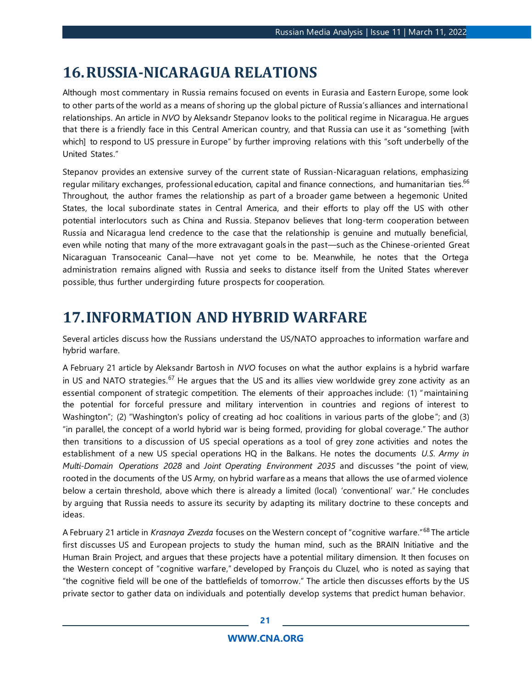# <span id="page-20-0"></span>**16.RUSSIA-NICARAGUA RELATIONS**

Although most commentary in Russia remains focused on events in Eurasia and Eastern Europe, some look to other parts of the world as a means of shoring up the global picture of Russia's alliances and international relationships. An article in *NVO* by Aleksandr Stepanov looks to the political regime in Nicaragua. He argues that there is a friendly face in this Central American country, and that Russia can use it as "something [with which] to respond to US pressure in Europe" by further improving relations with this "soft underbelly of the United States."

Stepanov provides an extensive survey of the current state of Russian-Nicaraguan relations, emphasizing regular military exchanges, professional education, capital and finance connections, and humanitarian ties.<sup>66</sup> Throughout, the author frames the relationship as part of a broader game between a hegemonic United States, the local subordinate states in Central America, and their efforts to play off the US with other potential interlocutors such as China and Russia. Stepanov believes that long-term cooperation between Russia and Nicaragua lend credence to the case that the relationship is genuine and mutually beneficial, even while noting that many of the more extravagant goals in the past—such as the Chinese-oriented Great Nicaraguan Transoceanic Canal—have not yet come to be. Meanwhile, he notes that the Ortega administration remains aligned with Russia and seeks to distance itself from the United States wherever possible, thus further undergirding future prospects for cooperation.

# <span id="page-20-1"></span>**17.INFORMATION AND HYBRID WARFARE**

Several articles discuss how the Russians understand the US/NATO approaches to information warfare and hybrid warfare.

A February 21 article by Aleksandr Bartosh in *NVO* focuses on what the author explains is a hybrid warfare in US and NATO strategies.<sup>67</sup> He argues that the US and its allies view worldwide grey zone activity as an essential component of strategic competition. The elements of their approaches include: (1) "maintaining the potential for forceful pressure and military intervention in countries and regions of interest to Washington"; (2) "Washington's policy of creating ad hoc coalitions in various parts of the globe"; and (3) "in parallel, the concept of a world hybrid war is being formed, providing for global coverage." The author then transitions to a discussion of US special operations as a tool of grey zone activities and notes the establishment of a new US special operations HQ in the Balkans. He notes the documents *U.S. Army in Multi-Domain Operations 2028* and *Joint Operating Environment 2035* and discusses "the point of view, rooted in the documents of the US Army, on hybrid warfare as a means that allows the use of armed violence below a certain threshold, above which there is already a limited (local) 'conventional' war." He concludes by arguing that Russia needs to assure its security by adapting its military doctrine to these concepts and ideas.

A February 21 article in *Krasnaya Zvezda* focuses on the Western concept of "cognitive warfare."<sup>68</sup> The article first discusses US and European projects to study the human mind, such as the BRAIN Initiative and the Human Brain Project, and argues that these projects have a potential military dimension. It then focuses on the Western concept of "cognitive warfare," developed by François du Cluzel, who is noted as saying that "the cognitive field will be one of the battlefields of tomorrow." The article then discusses efforts by the US private sector to gather data on individuals and potentially develop systems that predict human behavior.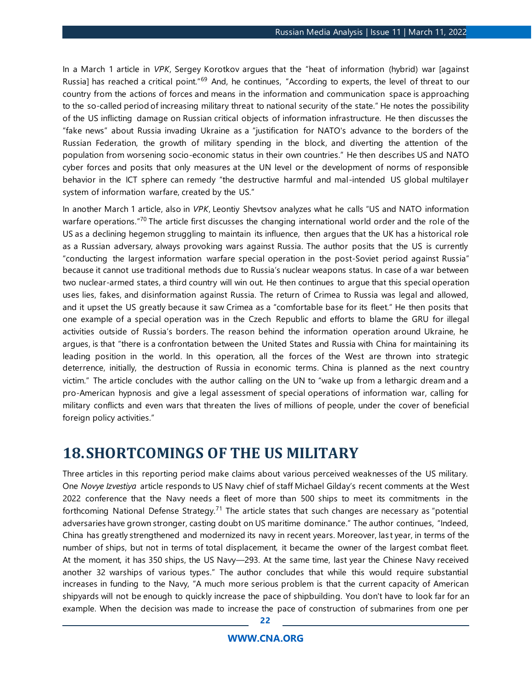In a March 1 article in *VPK*, Sergey Korotkov argues that the "heat of information (hybrid) war [against Russia] has reached a critical point."<sup>69</sup> And, he continues, "According to experts, the level of threat to our country from the actions of forces and means in the information and communication space is approaching to the so-called period of increasing military threat to national security of the state." He notes the possibility of the US inflicting damage on Russian critical objects of information infrastructure. He then discusses the "fake news" about Russia invading Ukraine as a "justification for NATO's advance to the borders of the Russian Federation, the growth of military spending in the block, and diverting the attention of the population from worsening socio-economic status in their own countries." He then describes US and NATO cyber forces and posits that only measures at the UN level or the development of norms of responsible behavior in the ICT sphere can remedy "the destructive harmful and mal-intended US global multilayer system of information warfare, created by the US."

In another March 1 article, also in *VPK*, Leontiy Shevtsov analyzes what he calls "US and NATO information warfare operations."<sup>70</sup> The article first discusses the changing international world order and the role of the US as a declining hegemon struggling to maintain its influence, then argues that the UK has a historical role as a Russian adversary, always provoking wars against Russia. The author posits that the US is currently "conducting the largest information warfare special operation in the post-Soviet period against Russia" because it cannot use traditional methods due to Russia's nuclear weapons status. In case of a war between two nuclear-armed states, a third country will win out. He then continues to argue that this special operation uses lies, fakes, and disinformation against Russia. The return of Crimea to Russia was legal and allowed, and it upset the US greatly because it saw Crimea as a "comfortable base for its fleet." He then posits that one example of a special operation was in the Czech Republic and efforts to blame the GRU for illegal activities outside of Russia's borders. The reason behind the information operation around Ukraine, he argues, is that "there is a confrontation between the United States and Russia with China for maintaining its leading position in the world. In this operation, all the forces of the West are thrown into strategic deterrence, initially, the destruction of Russia in economic terms. China is planned as the next country victim." The article concludes with the author calling on the UN to "wake up from a lethargic dream and a pro-American hypnosis and give a legal assessment of special operations of information war, calling for military conflicts and even wars that threaten the lives of millions of people, under the cover of beneficial foreign policy activities."

### <span id="page-21-0"></span>**18.SHORTCOMINGS OF THE US MILITARY**

Three articles in this reporting period make claims about various perceived weaknesses of the US military. One *Novye Izvestiya* article responds to US Navy chief of staff Michael Gilday's recent comments at the West 2022 conference that the Navy needs a fleet of more than 500 ships to meet its commitments in the forthcoming National Defense Strategy.<sup>71</sup> The article states that such changes are necessary as "potential adversaries have grown stronger, casting doubt on US maritime dominance." The author continues, "Indeed, China has greatly strengthened and modernized its navy in recent years. Moreover, las t year, in terms of the number of ships, but not in terms of total displacement, it became the owner of the largest combat fleet. At the moment, it has 350 ships, the US Navy—293. At the same time, last year the Chinese Navy received another 32 warships of various types." The author concludes that while this would require substantial increases in funding to the Navy, "A much more serious problem is that the current capacity of American shipyards will not be enough to quickly increase the pace of shipbuilding. You don't have to look far for an example. When the decision was made to increase the pace of construction of submarines from one per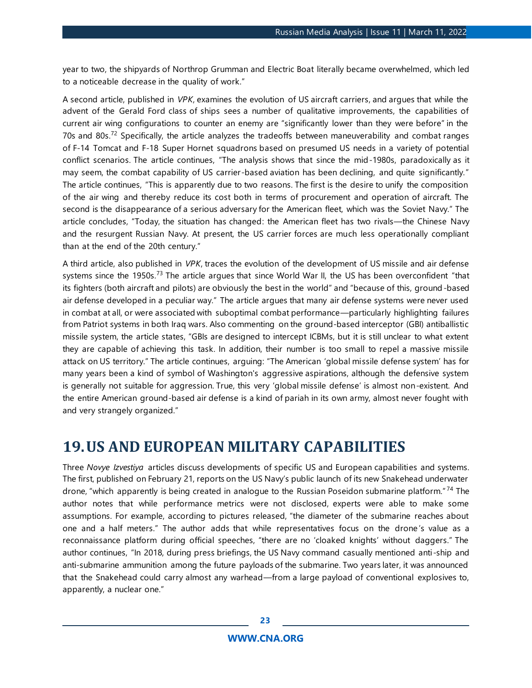year to two, the shipyards of Northrop Grumman and Electric Boat literally became overwhelmed, which led to a noticeable decrease in the quality of work."

A second article, published in *VPK*, examines the evolution of US aircraft carriers, and argues that while the advent of the Gerald Ford class of ships sees a number of qualitative improvements, the capabilities of current air wing configurations to counter an enemy are "significantly lower than they were before" in the 70s and 80s.<sup>72</sup> Specifically, the article analyzes the tradeoffs between maneuverability and combat ranges of F-14 Tomcat and F-18 Super Hornet squadrons based on presumed US needs in a variety of potential conflict scenarios. The article continues, "The analysis shows that since the mid-1980s, paradoxically as it may seem, the combat capability of US carrier-based aviation has been declining, and quite significantly." The article continues, "This is apparently due to two reasons. The first is the desire to unify the composition of the air wing and thereby reduce its cost both in terms of procurement and operation of aircraft. The second is the disappearance of a serious adversary for the American fleet, which was the Soviet Navy." The article concludes, "Today, the situation has changed: the American fleet has two rivals—the Chinese Navy and the resurgent Russian Navy. At present, the US carrier forces are much less operationally compliant than at the end of the 20th century."

A third article, also published in *VPK*, traces the evolution of the development of US missile and air defense systems since the 1950s.<sup>73</sup> The article argues that since World War II, the US has been overconfident "that its fighters (both aircraft and pilots) are obviously the best in the world" and "because of this, ground-based air defense developed in a peculiar way." The article argues that many air defense systems were never used in combat at all, or were associated with suboptimal combat performance—particularly highlighting failures from Patriot systems in both Iraq wars. Also commenting on the ground-based interceptor (GBI) antiballistic missile system, the article states, "GBIs are designed to intercept ICBMs, but it is still unclear to what extent they are capable of achieving this task. In addition, their number is too small to repel a massive missile attack on US territory." The article continues, arguing: "The American 'global missile defense system' has for many years been a kind of symbol of Washington's aggressive aspirations, although the defensive system is generally not suitable for aggression. True, this very 'global missile defense' is almost non-existent. And the entire American ground-based air defense is a kind of pariah in its own army, almost never fought with and very strangely organized."

## <span id="page-22-0"></span>**19.US AND EUROPEAN MILITARY CAPABILITIES**

Three *Novye Izvestiya* articles discuss developments of specific US and European capabilities and systems. The first, published on February 21, reports on the US Navy's public launch of its new Snakehead underwater drone, "which apparently is being created in analogue to the Russian Poseidon submarine platform." <sup>74</sup> The author notes that while performance metrics were not disclosed, experts were able to make some assumptions. For example, according to pictures released, "the diameter of the submarine reaches about one and a half meters." The author adds that while representatives focus on the drone 's value as a reconnaissance platform during official speeches, "there are no 'cloaked knights' without daggers." The author continues, "In 2018, during press briefings, the US Navy command casually mentioned anti-ship and anti-submarine ammunition among the future payloads of the submarine. Two years later, it was announced that the Snakehead could carry almost any warhead—from a large payload of conventional explosives to, apparently, a nuclear one."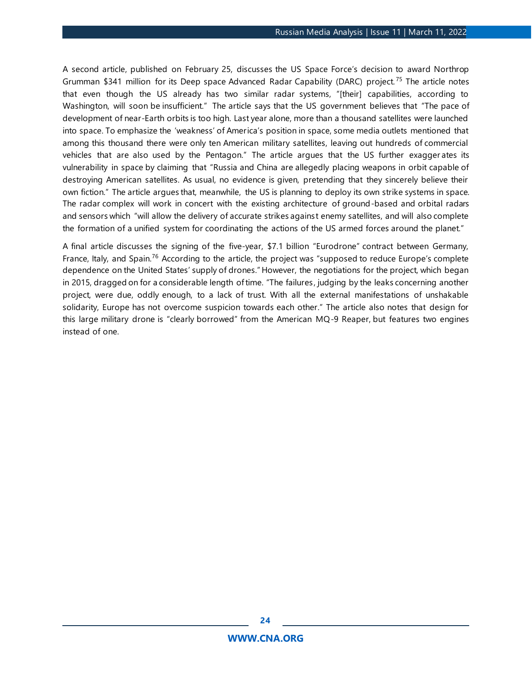A second article, published on February 25, discusses the US Space Force's decision to award Northrop Grumman \$341 million for its Deep space Advanced Radar Capability (DARC) project.<sup>75</sup> The article notes that even though the US already has two similar radar systems, "[their] capabilities, according to Washington, will soon be insufficient." The article says that the US government believes that "The pace of development of near-Earth orbits is too high. Last year alone, more than a thousand satellites were launched into space. To emphasize the 'weakness' of America's position in space, some media outlets mentioned that among this thousand there were only ten American military satellites, leaving out hundreds of commercial vehicles that are also used by the Pentagon." The article argues that the US further exagger ates its vulnerability in space by claiming that "Russia and China are allegedly placing weapons in orbit capable of destroying American satellites. As usual, no evidence is given, pretending that they sincerely believe their own fiction." The article argues that, meanwhile, the US is planning to deploy its own strike systems in space. The radar complex will work in concert with the existing architecture of ground-based and orbital radars and sensors which "will allow the delivery of accurate strikes agains t enemy satellites, and will also complete the formation of a unified system for coordinating the actions of the US armed forces around the planet."

A final article discusses the signing of the five-year, \$7.1 billion "Eurodrone" contract between Germany, France, Italy, and Spain.<sup>76</sup> According to the article, the project was "supposed to reduce Europe's complete dependence on the United States' supply of drones." However, the negotiations for the project, which began in 2015, dragged on for a considerable length of time. "The failures , judging by the leaks concerning another project, were due, oddly enough, to a lack of trust. With all the external manifestations of unshakable solidarity, Europe has not overcome suspicion towards each other." The article also notes that design for this large military drone is "clearly borrowed" from the American MQ-9 Reaper, but features two engines instead of one.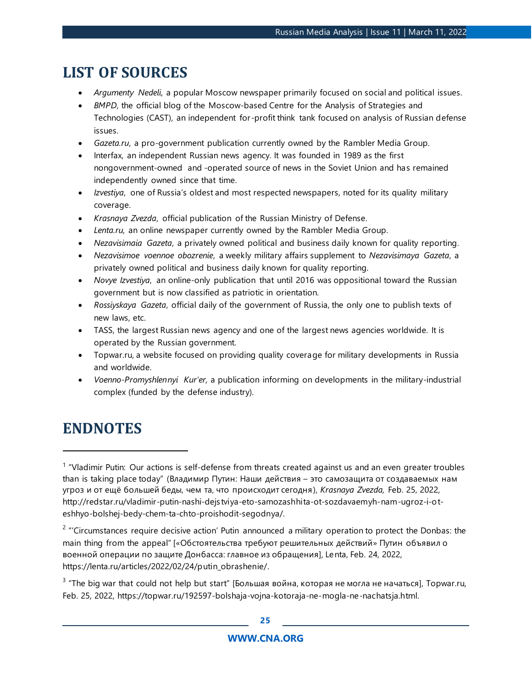# **LIST OF SOURCES**

- *Argumenty Nedeli*, a popular Moscow newspaper primarily focused on social and political issues.
- *BMPD*, the official blog of the Moscow-based Centre for the Analysis of Strategies and Technologies (CAST), an independent for-profit think tank focused on analysis of Russian defense issues.
- *Gazeta.ru*, a pro-government publication currently owned by the Rambler Media Group.
- Interfax, an independent Russian news agency. It was founded in 1989 as the first nongovernment-owned and -operated source of news in the Soviet Union and has remained independently owned since that time.
- *Izvestiya*, one of Russia's oldest and most respected newspapers, noted for its quality military coverage.
- *Krasnaya Zvezda*, official publication of the Russian Ministry of Defense.
- *Lenta.ru,* an online newspaper currently owned by the Rambler Media Group.
- *Nezavisimaia Gazeta*, a privately owned political and business daily known for quality reporting.
- *Nezavisimoe voennoe obozrenie*, a weekly military affairs supplement to *Nezavisimaya Gazeta*, a privately owned political and business daily known for quality reporting.
- *Novye Izvestiya*, an online-only publication that until 2016 was oppositional toward the Russian government but is now classified as patriotic in orientation.
- *Rossiyskaya Gazeta*, official daily of the government of Russia, the only one to publish texts of new laws, etc.
- TASS, the largest Russian news agency and one of the largest news agencies worldwide. It is operated by the Russian government.
- Topwar.ru, a website focused on providing quality coverage for military developments in Russia and worldwide.
- *Voenno-Promyshlennyi Kur'er,* a publication informing on developments in the military-industrial complex (funded by the defense industry).

# **ENDNOTES**

 $2$  "'Circumstances require decisive action' Putin announced a military operation to protect the Donbas: the main thing from the appeal" [«Обстоятельства требуют решительных действий» Путин объявил о военной операции по защите Донбасса: главное из обращения], Lenta, Feb. 24, 2022, https://lenta.ru/articles/2022/02/24/putin\_obrashenie/.

 $3$  "The big war that could not help but start" [Большая война, которая не могла не начаться], Topwar.ru, Feb. 25, 2022, https://topwar.ru/192597-bolshaja-vojna-kotoraja-ne-mogla-ne-nachatsja.html.

<sup>&</sup>lt;sup>1</sup> "Vladimir Putin: Our actions is self-defense from threats created against us and an even greater troubles than is taking place today" (Владимир Путин: Наши действия – это самозащита от создаваемых нам угроз и от ещё большей беды, чем та, что происходит сегодня), *Krasnaya Zvezda,* Feb. 25, 2022, http://redstar.ru/vladimir-putin-nashi-dejstviya-eto-samozashhita-ot-sozdavaemyh-nam-ugroz-i-oteshhyo-bolshej-bedy-chem-ta-chto-proishodit-segodnya/.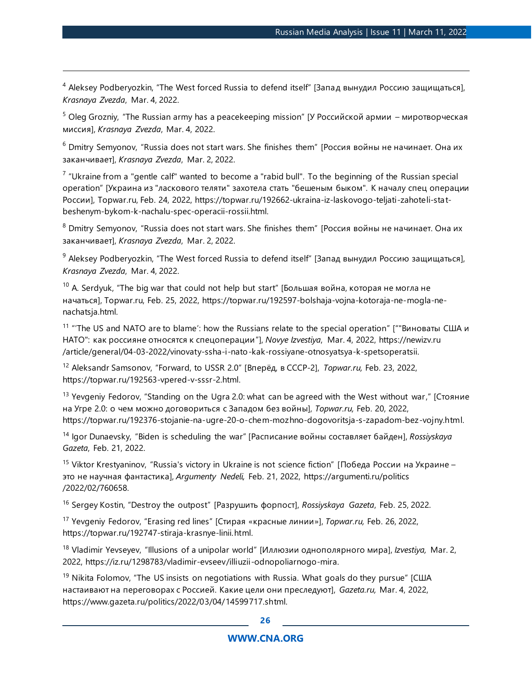<sup>4</sup> Aleksey Podberyozkin, "The West forced Russia to defend itself" [Запад вынудил Россию защищаться], *Krasnaya Zvezda*, Mar. 4, 2022.

 $5$  Oleg Grozniy, "The Russian army has a peacekeeping mission" [У Российской армии – миротворческая миссия], *Krasnaya Zvezda*, Mar. 4, 2022.

 $6$  Dmitry Semyonov, "Russia does not start wars. She finishes them" [Россия войны не начинает. Она их заканчивает], *Krasnaya Zvezda*, Mar. 2, 2022.

 $7$  "Ukraine from a "gentle calf" wanted to become a "rabid bull". To the beginning of the Russian special operation" [Украина из "ласкового теляти" захотела стать "бешеным быком". К началу спец операции России], Topwar.ru, Feb. 24, 2022, https://topwar.ru/192662-ukraina-iz-laskovogo-teljati-zahoteli-statbeshenym-bykom-k-nachalu-spec-operacii-rossii.html.

<sup>8</sup> Dmitry Semyonov, "Russia does not start wars. She finishes them" [Россия войны не начинает. Она их заканчивает], *Krasnaya Zvezda*, Mar. 2, 2022.

 $9$  Aleksey Podberyozkin, "The West forced Russia to defend itself" [Запад вынудил Россию защищаться], *Krasnaya Zvezda*, Mar. 4, 2022.

 $10$  A. Serdyuk, "The big war that could not help but start" [Большая война, которая не могла не начаться], Topwar.ru, Feb. 25, 2022, https://topwar.ru/192597-bolshaja-vojna-kotoraja-ne-mogla-nenachatsja.html.

<sup>11</sup> "The US and NATO are to blame': how the Russians relate to the special operation" [""Виноваты США и НАТО": как россияне относятся к спецоперации"], *Novye Izvestiya*, Mar. 4, 2022, https://newizv.ru /article/general/04-03-2022/vinovaty-ssha-i-nato-kak-rossiyane-otnosyatsya-k-spetsoperatsii.

<sup>12</sup> Aleksandr Samsonov, "Forward, to USSR 2.0" [Вперёд, в СССР-2], *Topwar.ru,* Feb. 23, 2022, https://topwar.ru/192563-vpered-v-sssr-2.html.

<sup>13</sup> Yevgeniy Fedorov, "Standing on the Ugra 2.0: what can be agreed with the West without war," [Стояние на Угре 2.0: о чем можно договориться с Западом без войны], *Topwar.ru,* Feb. 20, 2022, https://topwar.ru/192376-stojanie-na-ugre-20-o-chem-mozhno-dogovoritsja-s-zapadom-bez-vojny.html.

<sup>14</sup> Igor Dunaevsky, "Biden is scheduling the war" [Расписание войны составляет байден], *Rossiyskaya Gazeta*, Feb. 21, 2022.

<sup>15</sup> Viktor Krestyaninov, "Russia's victory in Ukraine is not science fiction" [Победа России на Украине – это не научная фантастика], *Argumenty Nedeli,* Feb. 21, 2022, https://argumenti.ru/politics /2022/02/760658.

<sup>16</sup> Sergey Kostin, "Destroy the outpost" [Разрушить форпост], *Rossiyskaya Gazeta*, Feb. 25, 2022.

<sup>17</sup> Yevgeniy Fedorov, "Erasing red lines" [Стирая «красные линии»], *Topwar.ru,* Feb. 26, 2022, https://topwar.ru/192747-stiraja-krasnye-linii.html.

<sup>18</sup> Vladimir Yevseyev, "Illusions of a unipolar world" [Иллюзии однополярного мира], *Izvestiya,* Mar. 2, 2022, https://iz.ru/1298783/vladimir-evseev/illiuzii-odnopoliarnogo-mira.

 $19$  Nikita Folomov, "The US insists on negotiations with Russia. What goals do they pursue" [США настаивают на переговорах с Россией. Какие цели они преследуют], *Gazeta.ru,* Mar. 4, 2022, https://www.gazeta.ru/politics/2022/03/04/14599717.shtml.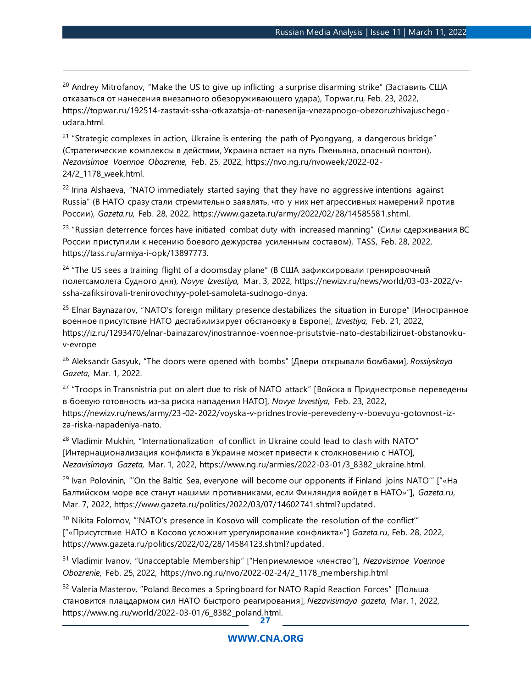<sup>20</sup> Andrey Mitrofanov, "Make the US to give up inflicting a surprise disarming strike" (Заставить США отказаться от нанесения внезапного обезоруживающего удара), Topwar.ru, Feb. 23, 2022, https://topwar.ru/192514-zastavit-ssha-otkazatsja-ot-nanesenija-vnezapnogo-obezoruzhivajuschegoudara.html.

<sup>21</sup> "Strategic complexes in action, Ukraine is entering the path of Pyongyang, a dangerous bridge" (Стратегические комплексы в действии, Украина встает на путь Пхеньяна, опасный понтон), *Nezavisimoe Voennoe Obozrenie,* Feb. 25, 2022, https://nvo.ng.ru/nvoweek/2022-02- 24/2\_1178\_week.html.

 $22$  Irina Alshaeva, "NATO immediately started saying that they have no aggressive intentions against Russia" (В НАТО сразу стали стремительно заявлять, что у них нет агрессивных намерений против России), *Gazeta.ru,* Feb. 28, 2022, https://www.gazeta.ru/army/2022/02/28/14585581.shtml.

 $23$  "Russian deterrence forces have initiated combat duty with increased manning" (Силы сдерживания ВС России приступили к несению боевого дежурства усиленным составом), TASS, Feb. 28, 2022, https://tass.ru/armiya-i-opk/13897773.

<sup>24</sup> "The US sees a training flight of a doomsday plane" (В США зафиксировали тренировочный полетсамолета Судного дня), *Novye Izvestiya,* Mar. 3, 2022, https://newizv.ru/news/world/03-03-2022/vssha-zafiksirovali-trenirovochnyy-polet-samoleta-sudnogo-dnya.

<sup>25</sup> Elnar Baynazarov, "NATO's foreign military presence destabilizes the situation in Europe" [Иностранное военное присутствие НАТО дестабилизирует обстановку в Европе], *Izvestiya,* Feb. 21, 2022, https://iz.ru/1293470/elnar-bainazarov/inostrannoe-voennoe-prisutstvie-nato-destabiliziruet-obstanovkuv-evrope

<sup>26</sup> Aleksandr Gasyuk, "The doors were opened with bombs" [Двери открывали бомбами], *Rossiyskaya Gazeta,* Mar. 1, 2022.

 $27$  "Troops in Transnistria put on alert due to risk of NATO attack" [Войска в Приднестровье переведены в боевую готовность из-за риска нападения НАТО], *Novye Izvestiya,* Feb. 23, 2022, https://newizv.ru/news/army/23-02-2022/voyska-v-pridnestrovie-perevedeny-v-boevuyu-gotovnost-izza-riska-napadeniya-nato.

 $28$  Vladimir Mukhin, "Internationalization of conflict in Ukraine could lead to clash with NATO" [Интернационализация конфликта в Украине может привести к столкновению с НАТО], *Nezavisimaya Gazeta,* Mar. 1, 2022, https://www.ng.ru/armies/2022-03-01/3\_8382\_ukraine.html.

<sup>29</sup> Ivan Polovinin, "'On the Baltic Sea, everyone will become our opponents if Finland joins NATO'" ["«Ha Балтийском море все станут нашими противниками, если Финляндия войдет в НАТО»"], *Gazeta.ru*, Mar. 7, 2022, https://www.gazeta.ru/politics/2022/03/07/14602741.shtml?updated.

<sup>30</sup> Nikita Folomov, "'NATO's presence in Kosovo will complicate the resolution of the conflict" ["«Присутствие НАТО в Косово усложнит урегулирование конфликта»"] *Gazeta.ru*, Feb. 28, 2022, https://www.gazeta.ru/politics/2022/02/28/14584123.shtml?updated.

<sup>31</sup> Vladimir Ivanov, "Unacceptable Membership" ["Неприемлемое членство"], *Nezavisimoe Voennoe Obozrenie*, Feb. 25, 2022, https://nvo.ng.ru/nvo/2022-02-24/2\_1178\_membership.html

**27** <sup>32</sup> Valeria Masterov, "Poland Becomes a Springboard for NATO Rapid Reaction Forces" [Польша становится плацдармом сил НАТО быстрого реагирования], *Nezavisimaya gazeta,* Mar. 1, 2022, https://www.ng.ru/world/2022-03-01/6\_8382\_poland.html.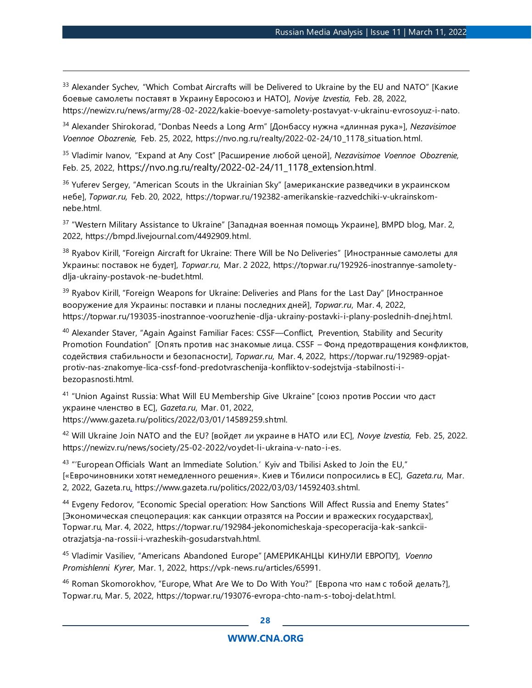<sup>33</sup> Alexander Sychev, "Which Combat Aircrafts will be Delivered to Ukraine by the EU and NATO" [Какие боевые самолеты поставят в Украину Евросоюз и НАТО], *Noviye Izvestia,* Feb. 28, 2022, https://newizv.ru/news/army/28-02-2022/kakie-boevye-samolety-postavyat-v-ukrainu-evrosoyuz-i-nato.

<sup>34</sup> Alexander Shirokorad, "Donbas Needs a Long Arm" [Донбассу нужна «длинная рука»], *Nezavisimoe Voennoe Obozrenie,* Feb. 25, 2022, https://nvo.ng.ru/realty/2022-02-24/10\_1178\_situation.html.

<sup>35</sup> Vladimir Ivanov, "Expand at Any Cost" [Расширение любой ценой], *Nezavisimoe Voennoe Obozrenie,* Feb. 25, 2022, https://nvo.ng.ru/realty/2022-02-24/11\_1178\_extension.html.

<sup>36</sup> Yuferev Sergey, "American Scouts in the Ukrainian Sky" [американские разведчики в украинском небе], *Topwar.ru,* Feb. 20, 2022, https://topwar.ru/192382-amerikanskie-razvedchiki-v-ukrainskomnebe.html.

<sup>37</sup> "Western Military Assistance to Ukraine" [Западная военная помощь Украине], BMPD blog*,* Mar. 2, 2022, https://bmpd.livejournal.com/4492909.html.

<sup>38</sup> Ryabov Kirill, "Foreign Aircraft for Ukraine: There Will be No Deliveries" [Иностранные самолеты для Украины: поставок не будет], *Topwar.ru*, Mar. 2 2022, https://topwar.ru/192926-inostrannye-samoletydlja-ukrainy-postavok-ne-budet.html.

<sup>39</sup> Ryabov Kirill, "Foreign Weapons for Ukraine: Deliveries and Plans for the Last Day" [Иностранное вооружение для Украины: поставки и планы последних дней], *Topwar.ru*, Mar. 4, 2022, https://topwar.ru/193035-inostrannoe-vooruzhenie-dlja-ukrainy-postavki-i-plany-poslednih-dnej.html.

<sup>40</sup> Alexander Staver, "Again Against Familiar Faces: CSSF—Conflict, Prevention, Stability and Security Promotion Foundation" [Опять против нас знакомые лица. CSSF – Фонд предотвращения конфликтов, содействия стабильности и безопасности], *Topwar.ru*, Mar. 4, 2022, https://topwar.ru/192989-opjatprotiv-nas-znakomye-lica-cssf-fond-predotvraschenija-konfliktov-sodejstvija-stabilnosti-ibezopasnosti.html.

<sup>41</sup> "Union Against Russia: What Will EU Membership Give Ukraine" [союз против России что даст украине членство в ЕС], *Gazeta.ru*, Mar. 01, 2022, https://www.gazeta.ru/politics/2022/03/01/14589259.shtml.

<sup>42</sup> Will Ukraine Join NATO and the EU? [войдет ли украине в НАТО или ЕС], *Novye Izvestia,* Feb. 25, 2022. https://newizv.ru/news/society/25-02-2022/voydet-li-ukraina-v-nato-i-es.

<sup>43</sup> "'European Officials Want an Immediate Solution.' Kyiv and Tbilisi Asked to Join the EU," [«Еврочиновники хотят немедленного решения». Киев и Тбилиси попросились в ЕС], *Gazeta.ru*, Mar. 2, 2022, Gazeta.ru, https://www.gazeta.ru/politics/2022/03/03/14592403.shtml.

<sup>44</sup> Evgeny Fedorov, "Economic Special operation: How Sanctions Will Affect Russia and Enemy States" [Экономическая спецоперация: как санкции отразятся на России и вражеских государствах], Topwar.ru*,* Mar. 4, 2022, https://topwar.ru/192984-jekonomicheskaja-specoperacija-kak-sankciiotrazjatsja-na-rossii-i-vrazheskih-gosudarstvah.html.

<sup>45</sup> Vladimir Vasiliev, "Americans Abandoned Europe" [АМЕРИКАНЦЫ КИНУЛИ ЕВРОПУ], *Voenno Promishlenni Kyrer,* Mar. 1, 2022, https://vpk-news.ru/articles/65991.

<sup>46</sup> Roman Skomorokhov, "Europe, What Are We to Do With You?" [Европа что нам с тобой делать?], Topwar.ru, Mar. 5, 2022, https://topwar.ru/193076-evropa-chto-nam-s-toboj-delat.html.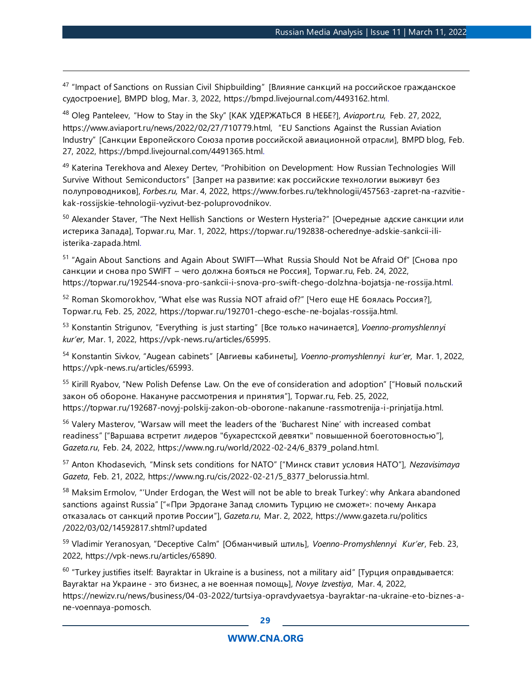<sup>47</sup> "Impact of Sanctions on Russian Civil Shipbuilding" [Влияние санкций на российское гражданское судостроение], BMPD blog, Mar. 3, 2022, https://bmpd.livejournal.com/4493162.html.

<sup>48</sup> Oleg Panteleev, "How to Stay in the Sky" [КАК УДЕРЖАТЬСЯ В НЕБЕ?], *Aviaport.ru,* Feb. 27, 2022, https://www.aviaport.ru/news/2022/02/27/710779.html, "EU Sanctions Against the Russian Aviation Industry" [Санкции Европейского Союза против российской авиационной отрасли], BMPD blog*,* Feb. 27, 2022, https://bmpd.livejournal.com/4491365.html.

<sup>49</sup> Katerina Terekhova and Alexey Dertev, "Prohibition on Development: How Russian Technologies Will Survive Without Semiconductors" [Запрет на развитие: как российские технологии выживут без полупроводников], *Forbes.ru,* Mar. 4, 2022, https://www.forbes.ru/tekhnologii/457563-zapret-na-razvitiekak-rossijskie-tehnologii-vyzivut-bez-poluprovodnikov.

<sup>50</sup> Alexander Staver, "The Next Hellish Sanctions or Western Hysteria?" [Очередные адские санкции или истерика Запада], Topwar.ru, Mar. 1, 2022, https://topwar.ru/192838-ocherednye-adskie-sankcii-iliisterika-zapada.html.

<sup>51</sup> "Again About Sanctions and Again About SWIFT—What Russia Should Not be Afraid Of" [Снова про санкции и снова про SWIFT – чего должна бояться не Россия], Topwar.ru, Feb. 24, 2022, https://topwar.ru/192544-snova-pro-sankcii-i-snova-pro-swift-chego-dolzhna-bojatsja-ne-rossija.html.

<sup>52</sup> Roman Skomorokhov, "What else was Russia NOT afraid of?" [Чего еще НЕ боялась Россия?], Topwar.ru*,* Feb. 25, 2022, https://topwar.ru/192701-chego-esche-ne-bojalas-rossija.html.

<sup>53</sup> Konstantin Strigunov, "Everything is just starting" [Все только начинается], *Voenno-promyshlennyi kur'er,* Mar. 1, 2022, https://vpk-news.ru/articles/65995.

<sup>54</sup> Konstantin Sivkov, "Augean cabinets" [Авгиевы кабинеты], *Voenno-promyshlennyi kur'er,* Mar. 1, 2022, https://vpk-news.ru/articles/65993.

<sup>55</sup> Kirill Ryabov, "New Polish Defense Law. On the eve of consideration and adoption" ["Новый польский закон об обороне. Накануне рассмотрения и принятия"], Topwar.ru, Feb. 25, 2022, https://topwar.ru/192687-novyj-polskij-zakon-ob-oborone-nakanune-rassmotrenija-i-prinjatija.html.

<sup>56</sup> Valery Masterov, "Warsaw will meet the leaders of the 'Bucharest Nine' with increased combat readiness" ["Варшава встретит лидеров "бухарестской девятки" повышенной боеготовностью"], *Gazeta.ru*, Feb. 24, 2022, https://www.ng.ru/world/2022-02-24/6\_8379\_poland.html.

<sup>57</sup> Anton Khodasevich, "Minsk sets conditions for NATO" ["Минск ставит условия НАТО"], *Nezavisimaya Gazeta*, Feb. 21, 2022, https://www.ng.ru/cis/2022-02-21/5\_8377\_belorussia.html.

58 Maksim Ermolov, "'Under Erdogan, the West will not be able to break Turkey': why Ankara abandoned sanctions against Russia" ["«При Эрдогане Запад сломить Турцию не сможет»: почему Анкара отказалась от санкций против России"], *Gazeta.ru*, Mar. 2, 2022, https://www.gazeta.ru/politics /2022/03/02/14592817.shtml?updated

<sup>59</sup> Vladimir Yeranosyan, "Deceptive Calm" [Обманчивый штиль], *Voenno-Promyshlennyi Kur'er*, Feb. 23, 2022, https://vpk-news.ru/articles/65890.

<sup>60</sup> "Turkey justifies itself: Bayraktar in Ukraine is a business, not a military aid" [Турция оправдывается: Bayraktar на Украине - это бизнес, а не военная помощь], *Novye Izvestiya*, Mar. 4, 2022, https://newizv.ru/news/business/04-03-2022/turtsiya-opravdyvaetsya-bayraktar-na-ukraine-eto-biznes-ane-voennaya-pomosch.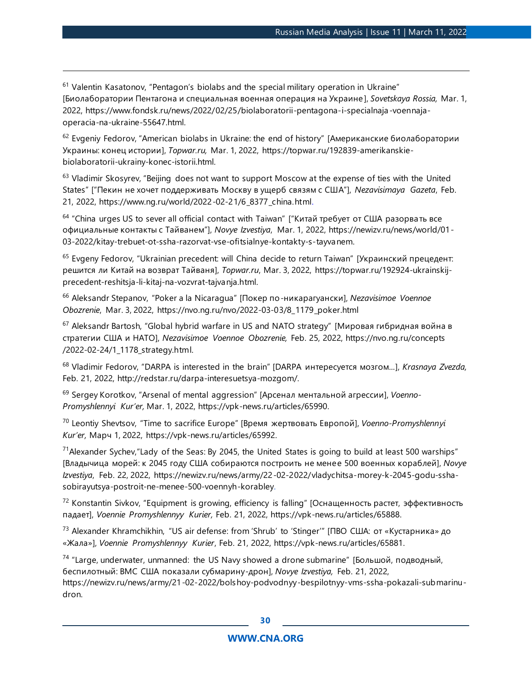$61$  Valentin Kasatonov, "Pentagon's biolabs and the special military operation in Ukraine" [Биолаборатории Пентагона и специальная военная операция на Украине], *Sovetskaya Rossia,* Mar. 1, 2022, https://www.fondsk.ru/news/2022/02/25/biolaboratorii-pentagona-i-specialnaja-voennajaoperacia-na-ukraine-55647.html.

<sup>62</sup> Evgeniy Fedorov, "American biolabs in Ukraine: the end of history" [Американские биолаборатории Украины: конец истории], *Topwar.ru,* Mar. 1, 2022, https://topwar.ru/192839-amerikanskiebiolaboratorii-ukrainy-konec-istorii.html.

<sup>63</sup> Vladimir Skosyrev, "Beijing does not want to support Moscow at the expense of ties with the United States" ["Пекин не хочет поддерживать Москву в ущерб связям с США"], *Nezavisimaya Gazeta*, Feb. 21, 2022, https://www.ng.ru/world/2022-02-21/6\_8377\_china.html.

 $64$  "China urges US to sever all official contact with Taiwan" ["Китай требует от США разорвать все официальные контакты с Тайванем"], *Novye Izvestiya*, Mar. 1, 2022, https://newizv.ru/news/world/01- 03-2022/kitay-trebuet-ot-ssha-razorvat-vse-ofitsialnye-kontakty-s-tayvanem.

<sup>65</sup> Evgeny Fedorov, "Ukrainian precedent: will China decide to return Taiwan" [Украинский прецедент: решится ли Китай на возврат Тайваня], *Topwar.ru*, Mar. 3, 2022, https://topwar.ru/192924-ukrainskijprecedent-reshitsja-li-kitaj-na-vozvrat-tajvanja.html.

<sup>66</sup> Aleksandr Stepanov, "Poker a la Nicaragua" [Покер по-никарагуански], *Nezavisimoe Voennoe Obozrenie*, Mar. 3, 2022, https://nvo.ng.ru/nvo/2022-03-03/8\_1179\_poker.html

<sup>67</sup> Aleksandr Bartosh, "Global hybrid warfare in US and NATO strategy" [Мировая гибридная война в стратегии США и НАТО], *Nezavisimoe Voennoe Obozrenie,* Feb. 25, 2022, https://nvo.ng.ru/concepts /2022-02-24/1\_1178\_strategy.html.

<sup>68</sup> Vladimir Fedorov, "DARPA is interested in the brain" [DARPA интересуется мозгом...], *Krasnaya Zvezda,*  Feb. 21, 2022, http://redstar.ru/darpa-interesuetsya-mozgom/.

<sup>69</sup> Sergey Korotkov, "Arsenal of mental aggression" [Арсенал ментальной агрессии], *Voenno-Promyshlennyi Kur'er,* Mar. 1, 2022, https://vpk-news.ru/articles/65990.

<sup>70</sup> Leontiy Shevtsov, "Time to sacrifice Europe" [Время жертвовать Европой], *Voenno-Promyshlennyi Kur'er,* Марч 1, 2022, https://vpk-news.ru/articles/65992.

 $71$ Alexander Sychev, "Lady of the Seas: By 2045, the United States is going to build at least 500 warships" [Владычица морей: к 2045 году США собираются построить не менее 500 военных кораблей], *Novye Izvestiya*, Feb. 22, 2022, https://newizv.ru/news/army/22-02-2022/vladychitsa-morey-k-2045-godu-sshasobirayutsya-postroit-ne-menee-500-voennyh-korabley.

<sup>72</sup> Konstantin Sivkov, "Equipment is growing, efficiency is falling" [Оснащенность растет, эффективность падает], *Voennie Promyshlennyy Kurier,* Feb. 21, 2022, https://vpk-news.ru/articles/65888.

<sup>73</sup> Alexander Khramchikhin, "US air defense: from 'Shrub' to 'Stinger'" [ПВО США: от «Кустарника» до «Жала»], *Voennie Promyshlennyy Kurier*, Feb. 21, 2022, https://vpk-news.ru/articles/65881.

 $74$  "Large, underwater, unmanned: the US Navy showed a drone submarine" [Большой, подводный, беспилотный: ВМС США показали субмарину-дрон], *Novye Izvestiya,* Feb. 21, 2022, https://newizv.ru/news/army/21-02-2022/bolshoy-podvodnyy-bespilotnyy-vms-ssha-pokazali-submarinudron.